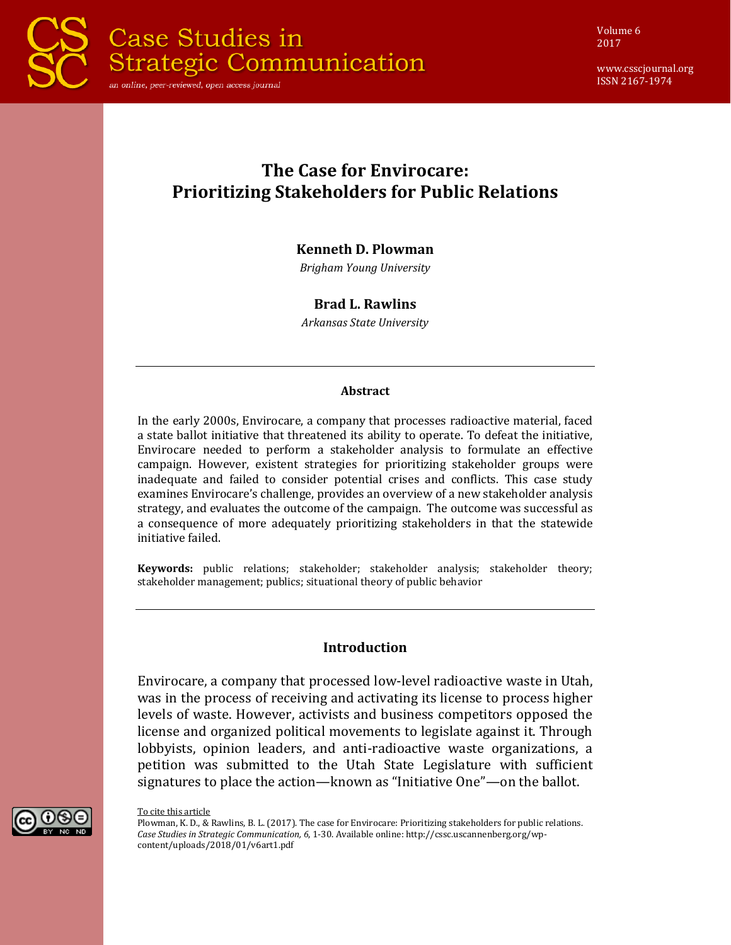

Volume 6 2017

www.csscjournal.org ISSN 2167-1974

# **The Case for Envirocare: Prioritizing Stakeholders for Public Relations**

#### **Kenneth D. Plowman**

*Brigham Young University*

#### **Brad L. Rawlins**

*Arkansas State University*

#### **Abstract**

In the early 2000s, Envirocare, a company that processes radioactive material, faced a state ballot initiative that threatened its ability to operate. To defeat the initiative, Envirocare needed to perform a stakeholder analysis to formulate an effective campaign. However, existent strategies for prioritizing stakeholder groups were inadequate and failed to consider potential crises and conflicts. This case study examines Envirocare's challenge, provides an overview of a new stakeholder analysis strategy, and evaluates the outcome of the campaign. The outcome was successful as a consequence of more adequately prioritizing stakeholders in that the statewide initiative failed.

**Keywords:** public relations; stakeholder; stakeholder analysis; stakeholder theory; stakeholder management; publics; situational theory of public behavior

#### **Introduction**

Envirocare, a company that processed low-level radioactive waste in Utah, was in the process of receiving and activating its license to process higher levels of waste. However, activists and business competitors opposed the license and organized political movements to legislate against it. Through lobbyists, opinion leaders, and anti-radioactive waste organizations, a petition was submitted to the Utah State Legislature with sufficient signatures to place the action—known as "Initiative One"—on the ballot.



To cite this article

Plowman, K. D., & Rawlins, B. L. (2017). The case for Envirocare: Prioritizing stakeholders for public relations. *Case Studies in Strategic Communication, 6*, 1-30. Available online: http://cssc.uscannenberg.org/wpcontent/uploads/2018/01/v6art1.pdf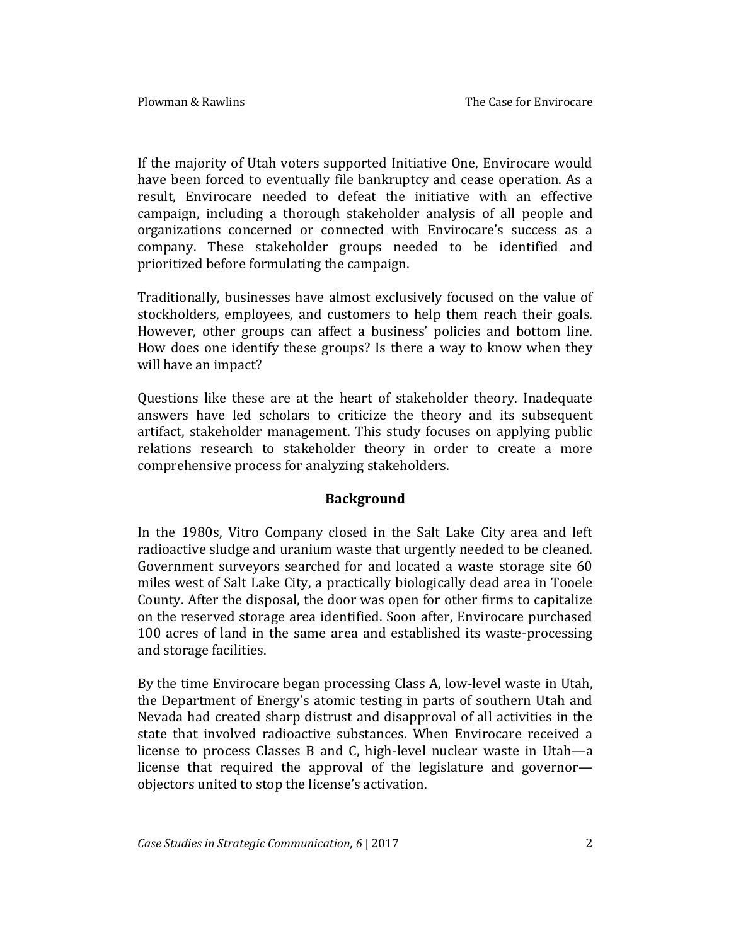If the majority of Utah voters supported Initiative One, Envirocare would have been forced to eventually file bankruptcy and cease operation. As a result, Envirocare needed to defeat the initiative with an effective campaign, including a thorough stakeholder analysis of all people and organizations concerned or connected with Envirocare's success as a company. These stakeholder groups needed to be identified and prioritized before formulating the campaign.

Traditionally, businesses have almost exclusively focused on the value of stockholders, employees, and customers to help them reach their goals. However, other groups can affect a business' policies and bottom line. How does one identify these groups? Is there a way to know when they will have an impact?

Questions like these are at the heart of stakeholder theory. Inadequate answers have led scholars to criticize the theory and its subsequent artifact, stakeholder management. This study focuses on applying public relations research to stakeholder theory in order to create a more comprehensive process for analyzing stakeholders.

### **Background**

In the 1980s, Vitro Company closed in the Salt Lake City area and left radioactive sludge and uranium waste that urgently needed to be cleaned. Government surveyors searched for and located a waste storage site 60 miles west of Salt Lake City, a practically biologically dead area in Tooele County. After the disposal, the door was open for other firms to capitalize on the reserved storage area identified. Soon after, Envirocare purchased 100 acres of land in the same area and established its waste-processing and storage facilities.

By the time Envirocare began processing Class A, low-level waste in Utah, the Department of Energy's atomic testing in parts of southern Utah and Nevada had created sharp distrust and disapproval of all activities in the state that involved radioactive substances. When Envirocare received a license to process Classes B and C, high-level nuclear waste in Utah—a license that required the approval of the legislature and governor objectors united to stop the license's activation.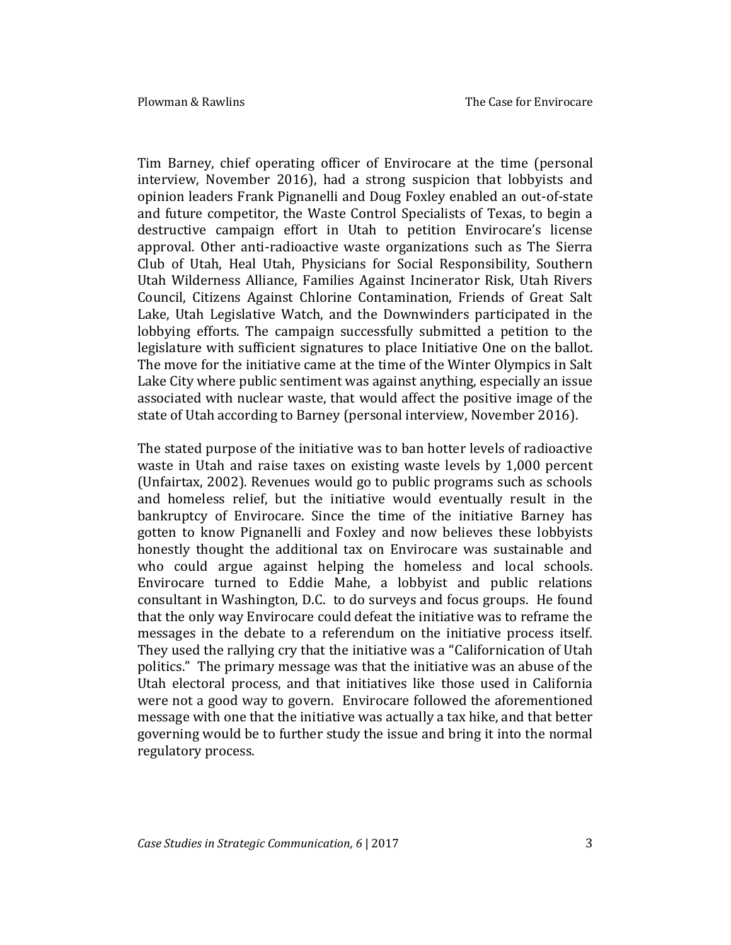Tim Barney, chief operating officer of Envirocare at the time (personal interview, November 2016), had a strong suspicion that lobbyists and opinion leaders Frank Pignanelli and Doug Foxley enabled an out-of-state and future competitor, the Waste Control Specialists of Texas, to begin a destructive campaign effort in Utah to petition Envirocare's license approval. Other anti-radioactive waste organizations such as The Sierra Club of Utah, Heal Utah, Physicians for Social Responsibility, Southern Utah Wilderness Alliance, Families Against Incinerator Risk, Utah Rivers Council, Citizens Against Chlorine Contamination, Friends of Great Salt Lake, Utah Legislative Watch, and the Downwinders participated in the lobbying efforts. The campaign successfully submitted a petition to the legislature with sufficient signatures to place Initiative One on the ballot. The move for the initiative came at the time of the Winter Olympics in Salt Lake City where public sentiment was against anything, especially an issue associated with nuclear waste, that would affect the positive image of the state of Utah according to Barney (personal interview, November 2016).

The stated purpose of the initiative was to ban hotter levels of radioactive waste in Utah and raise taxes on existing waste levels by 1,000 percent (Unfairtax, 2002). Revenues would go to public programs such as schools and homeless relief, but the initiative would eventually result in the bankruptcy of Envirocare. Since the time of the initiative Barney has gotten to know Pignanelli and Foxley and now believes these lobbyists honestly thought the additional tax on Envirocare was sustainable and who could argue against helping the homeless and local schools. Envirocare turned to Eddie Mahe, a lobbyist and public relations consultant in Washington, D.C. to do surveys and focus groups. He found that the only way Envirocare could defeat the initiative was to reframe the messages in the debate to a referendum on the initiative process itself. They used the rallying cry that the initiative was a "Californication of Utah politics." The primary message was that the initiative was an abuse of the Utah electoral process, and that initiatives like those used in California were not a good way to govern. Envirocare followed the aforementioned message with one that the initiative was actually a tax hike, and that better governing would be to further study the issue and bring it into the normal regulatory process.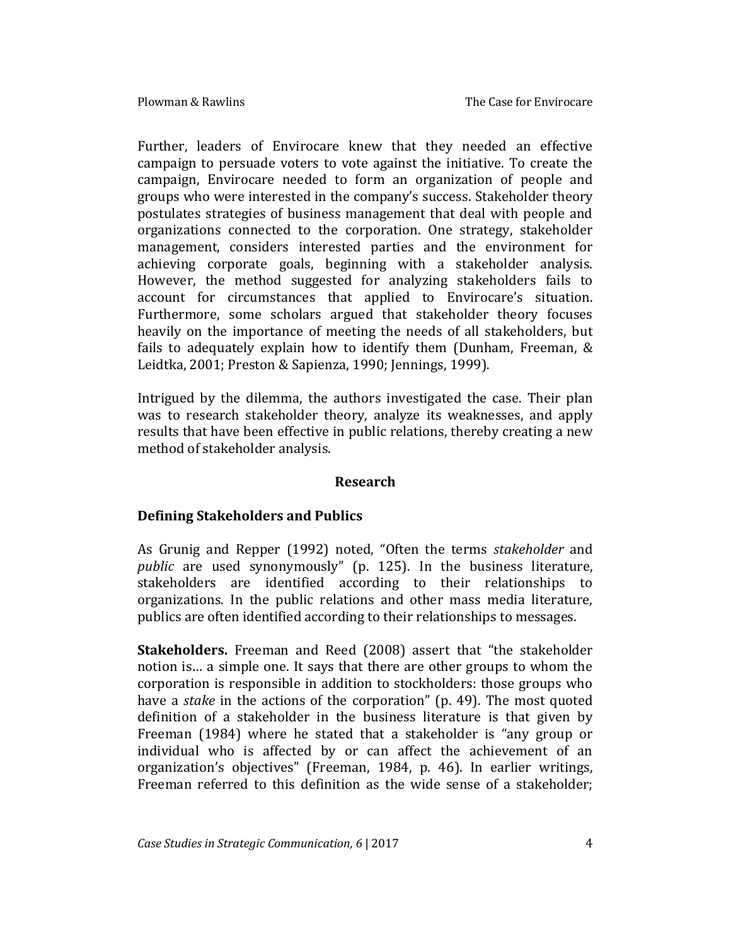Further, leaders of Envirocare knew that they needed an effective campaign to persuade voters to vote against the initiative. To create the campaign, Envirocare needed to form an organization of people and groups who were interested in the company's success. Stakeholder theory postulates strategies of business management that deal with people and organizations connected to the corporation. One strategy, stakeholder management, considers interested parties and the environment for achieving corporate goals, beginning with a stakeholder analysis. However, the method suggested for analyzing stakeholders fails to account for circumstances that applied to Envirocare's situation. Furthermore, some scholars argued that stakeholder theory focuses heavily on the importance of meeting the needs of all stakeholders, but fails to adequately explain how to identify them (Dunham, Freeman, & Leidtka, 2001; Preston & Sapienza, 1990; Jennings, 1999).

Intrigued by the dilemma, the authors investigated the case. Their plan was to research stakeholder theory, analyze its weaknesses, and apply results that have been effective in public relations, thereby creating a new method of stakeholder analysis.

### **Research**

### **Defining Stakeholders and Publics**

As Grunig and Repper (1992) noted, "Often the terms *stakeholder* and *public* are used synonymously" (p. 125). In the business literature, stakeholders are identified according to their relationships to organizations. In the public relations and other mass media literature, publics are often identified according to their relationships to messages.

**Stakeholders.** Freeman and Reed (2008) assert that "the stakeholder notion is… a simple one. It says that there are other groups to whom the corporation is responsible in addition to stockholders: those groups who have a *stake* in the actions of the corporation" (p. 49). The most quoted definition of a stakeholder in the business literature is that given by Freeman (1984) where he stated that a stakeholder is "any group or individual who is affected by or can affect the achievement of an organization's objectives" (Freeman, 1984, p. 46). In earlier writings, Freeman referred to this definition as the wide sense of a stakeholder;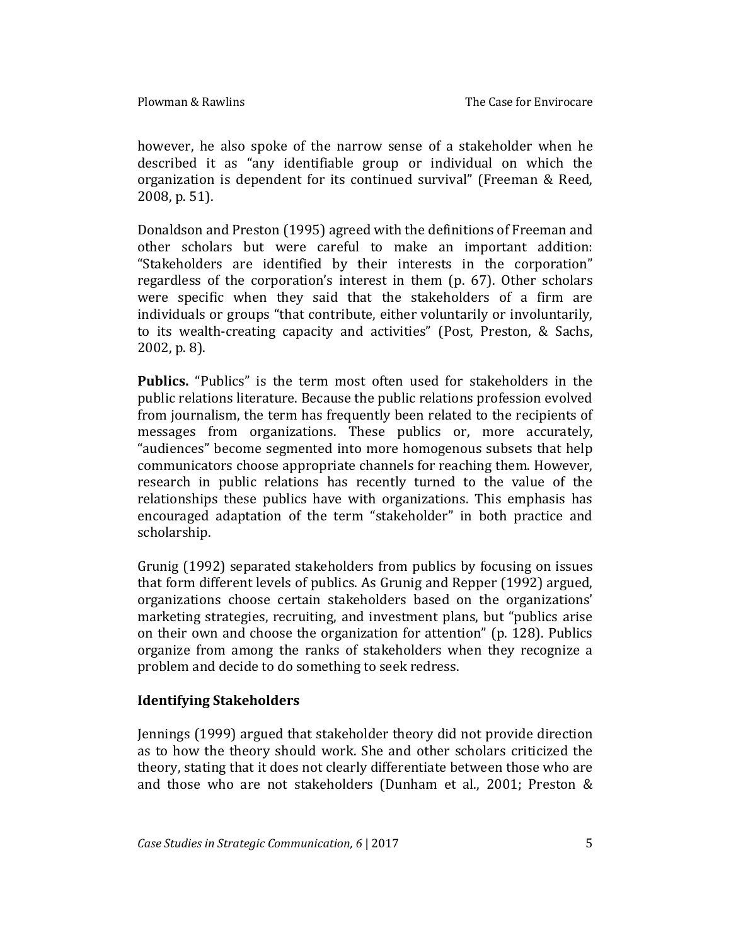however, he also spoke of the narrow sense of a stakeholder when he described it as "any identifiable group or individual on which the organization is dependent for its continued survival" (Freeman & Reed, 2008, p. 51).

Donaldson and Preston (1995) agreed with the definitions of Freeman and other scholars but were careful to make an important addition: "Stakeholders are identified by their interests in the corporation" regardless of the corporation's interest in them (p. 67). Other scholars were specific when they said that the stakeholders of a firm are individuals or groups "that contribute, either voluntarily or involuntarily, to its wealth-creating capacity and activities" (Post, Preston, & Sachs, 2002, p. 8).

**Publics.** "Publics" is the term most often used for stakeholders in the public relations literature. Because the public relations profession evolved from journalism, the term has frequently been related to the recipients of messages from organizations. These publics or, more accurately, "audiences" become segmented into more homogenous subsets that help communicators choose appropriate channels for reaching them. However, research in public relations has recently turned to the value of the relationships these publics have with organizations. This emphasis has encouraged adaptation of the term "stakeholder" in both practice and scholarship.

Grunig (1992) separated stakeholders from publics by focusing on issues that form different levels of publics. As Grunig and Repper (1992) argued, organizations choose certain stakeholders based on the organizations' marketing strategies, recruiting, and investment plans, but "publics arise on their own and choose the organization for attention" (p. 128). Publics organize from among the ranks of stakeholders when they recognize a problem and decide to do something to seek redress.

### **Identifying Stakeholders**

Jennings (1999) argued that stakeholder theory did not provide direction as to how the theory should work. She and other scholars criticized the theory, stating that it does not clearly differentiate between those who are and those who are not stakeholders (Dunham et al., 2001; Preston &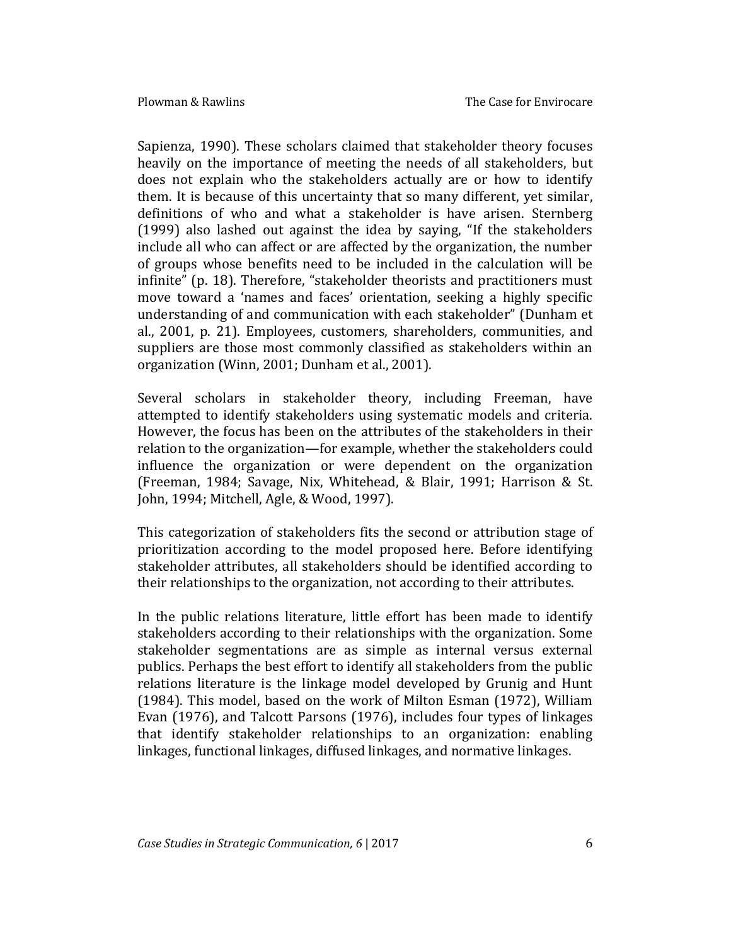Sapienza, 1990). These scholars claimed that stakeholder theory focuses heavily on the importance of meeting the needs of all stakeholders, but does not explain who the stakeholders actually are or how to identify them. It is because of this uncertainty that so many different, yet similar, definitions of who and what a stakeholder is have arisen. Sternberg (1999) also lashed out against the idea by saying, "If the stakeholders include all who can affect or are affected by the organization, the number of groups whose benefits need to be included in the calculation will be infinite" (p. 18). Therefore, "stakeholder theorists and practitioners must move toward a 'names and faces' orientation, seeking a highly specific understanding of and communication with each stakeholder" (Dunham et al., 2001, p. 21). Employees, customers, shareholders, communities, and suppliers are those most commonly classified as stakeholders within an organization (Winn, 2001; Dunham et al., 2001).

Several scholars in stakeholder theory, including Freeman, have attempted to identify stakeholders using systematic models and criteria. However, the focus has been on the attributes of the stakeholders in their relation to the organization—for example, whether the stakeholders could influence the organization or were dependent on the organization (Freeman, 1984; Savage, Nix, Whitehead, & Blair, 1991; Harrison & St. John, 1994; Mitchell, Agle, & Wood, 1997).

This categorization of stakeholders fits the second or attribution stage of prioritization according to the model proposed here. Before identifying stakeholder attributes, all stakeholders should be identified according to their relationships to the organization, not according to their attributes.

In the public relations literature, little effort has been made to identify stakeholders according to their relationships with the organization. Some stakeholder segmentations are as simple as internal versus external publics. Perhaps the best effort to identify all stakeholders from the public relations literature is the linkage model developed by Grunig and Hunt (1984). This model, based on the work of Milton Esman (1972), William Evan (1976), and Talcott Parsons (1976), includes four types of linkages that identify stakeholder relationships to an organization: enabling linkages, functional linkages, diffused linkages, and normative linkages.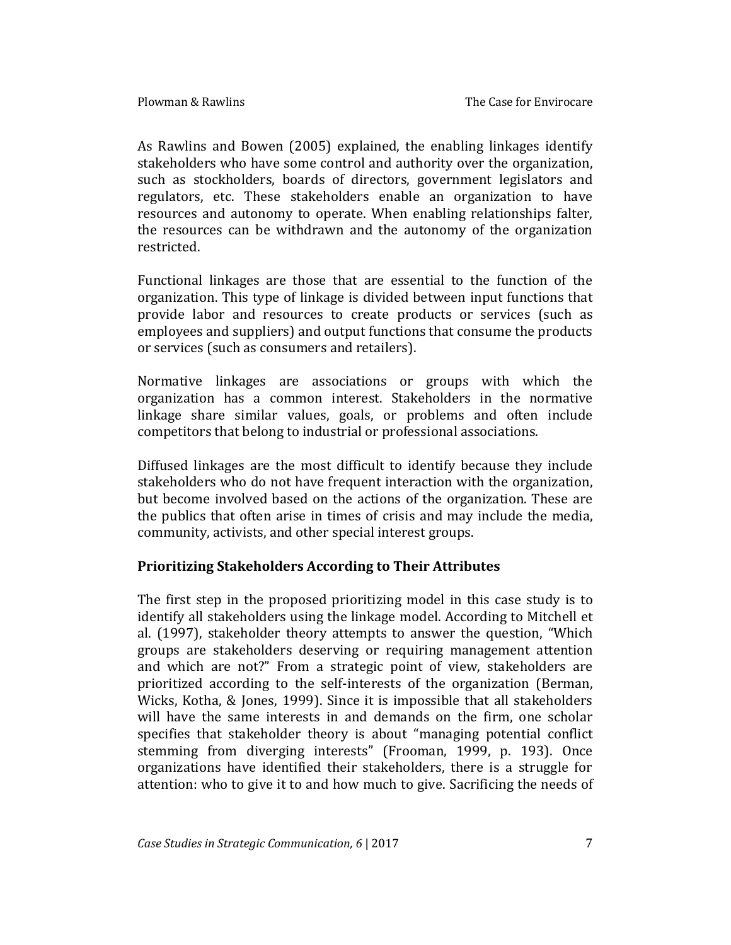As Rawlins and Bowen (2005) explained, the enabling linkages identify stakeholders who have some control and authority over the organization, such as stockholders, boards of directors, government legislators and regulators, etc. These stakeholders enable an organization to have resources and autonomy to operate. When enabling relationships falter, the resources can be withdrawn and the autonomy of the organization restricted.

Functional linkages are those that are essential to the function of the organization. This type of linkage is divided between input functions that provide labor and resources to create products or services (such as employees and suppliers) and output functions that consume the products or services (such as consumers and retailers).

Normative linkages are associations or groups with which the organization has a common interest. Stakeholders in the normative linkage share similar values, goals, or problems and often include competitors that belong to industrial or professional associations.

Diffused linkages are the most difficult to identify because they include stakeholders who do not have frequent interaction with the organization, but become involved based on the actions of the organization. These are the publics that often arise in times of crisis and may include the media, community, activists, and other special interest groups.

### **Prioritizing Stakeholders According to Their Attributes**

The first step in the proposed prioritizing model in this case study is to identify all stakeholders using the linkage model. According to Mitchell et al. (1997), stakeholder theory attempts to answer the question, "Which groups are stakeholders deserving or requiring management attention and which are not?" From a strategic point of view, stakeholders are prioritized according to the self-interests of the organization (Berman, Wicks, Kotha, & Jones, 1999). Since it is impossible that all stakeholders will have the same interests in and demands on the firm, one scholar specifies that stakeholder theory is about "managing potential conflict stemming from diverging interests" (Frooman, 1999, p. 193). Once organizations have identified their stakeholders, there is a struggle for attention: who to give it to and how much to give. Sacrificing the needs of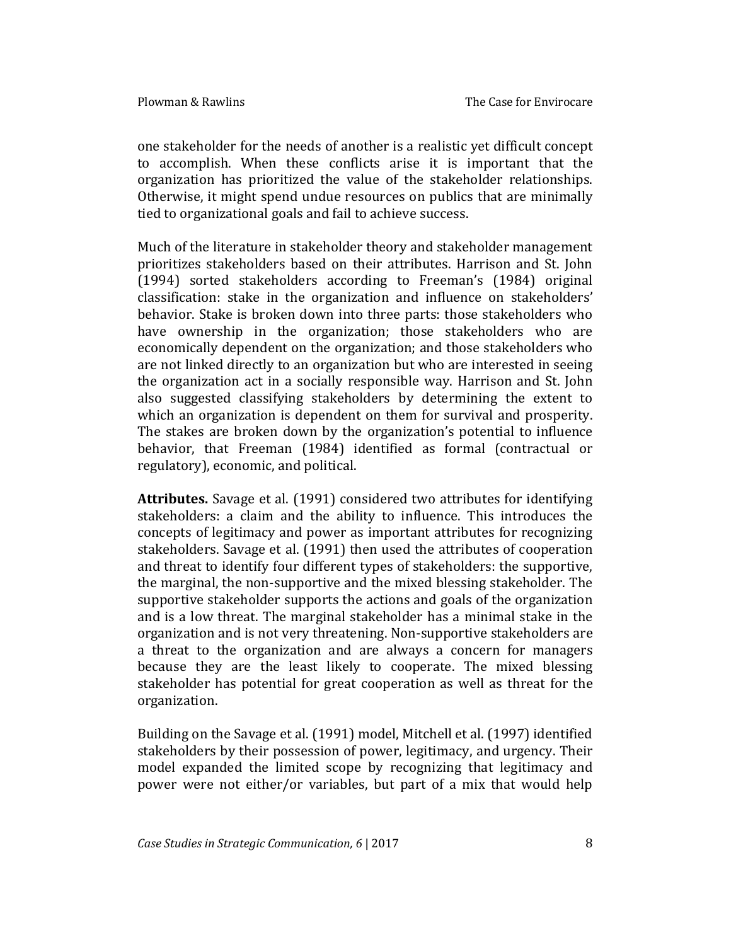one stakeholder for the needs of another is a realistic yet difficult concept to accomplish. When these conflicts arise it is important that the organization has prioritized the value of the stakeholder relationships. Otherwise, it might spend undue resources on publics that are minimally tied to organizational goals and fail to achieve success.

Much of the literature in stakeholder theory and stakeholder management prioritizes stakeholders based on their attributes. Harrison and St. John (1994) sorted stakeholders according to Freeman's (1984) original classification: stake in the organization and influence on stakeholders' behavior. Stake is broken down into three parts: those stakeholders who have ownership in the organization; those stakeholders who are economically dependent on the organization; and those stakeholders who are not linked directly to an organization but who are interested in seeing the organization act in a socially responsible way. Harrison and St. John also suggested classifying stakeholders by determining the extent to which an organization is dependent on them for survival and prosperity. The stakes are broken down by the organization's potential to influence behavior, that Freeman (1984) identified as formal (contractual or regulatory), economic, and political.

**Attributes.** Savage et al. (1991) considered two attributes for identifying stakeholders: a claim and the ability to influence. This introduces the concepts of legitimacy and power as important attributes for recognizing stakeholders. Savage et al. (1991) then used the attributes of cooperation and threat to identify four different types of stakeholders: the supportive, the marginal, the non-supportive and the mixed blessing stakeholder. The supportive stakeholder supports the actions and goals of the organization and is a low threat. The marginal stakeholder has a minimal stake in the organization and is not very threatening. Non-supportive stakeholders are a threat to the organization and are always a concern for managers because they are the least likely to cooperate. The mixed blessing stakeholder has potential for great cooperation as well as threat for the organization.

Building on the Savage et al. (1991) model, Mitchell et al. (1997) identified stakeholders by their possession of power, legitimacy, and urgency. Their model expanded the limited scope by recognizing that legitimacy and power were not either/or variables, but part of a mix that would help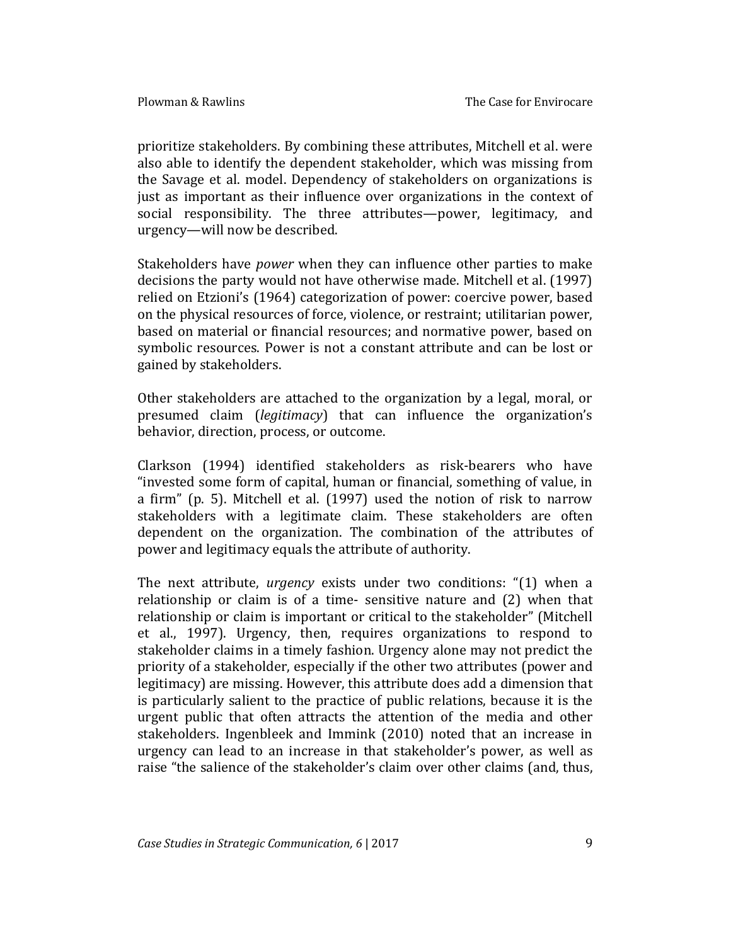prioritize stakeholders. By combining these attributes, Mitchell et al. were also able to identify the dependent stakeholder, which was missing from the Savage et al. model. Dependency of stakeholders on organizations is just as important as their influence over organizations in the context of social responsibility. The three attributes—power, legitimacy, and urgency—will now be described.

Stakeholders have *power* when they can influence other parties to make decisions the party would not have otherwise made. Mitchell et al. (1997) relied on Etzioni's (1964) categorization of power: coercive power, based on the physical resources of force, violence, or restraint; utilitarian power, based on material or financial resources; and normative power, based on symbolic resources. Power is not a constant attribute and can be lost or gained by stakeholders.

Other stakeholders are attached to the organization by a legal, moral, or presumed claim (*legitimacy*) that can influence the organization's behavior, direction, process, or outcome.

Clarkson (1994) identified stakeholders as risk-bearers who have "invested some form of capital, human or financial, something of value, in a firm" (p. 5). Mitchell et al. (1997) used the notion of risk to narrow stakeholders with a legitimate claim. These stakeholders are often dependent on the organization. The combination of the attributes of power and legitimacy equals the attribute of authority.

The next attribute, *urgency* exists under two conditions: "(1) when a relationship or claim is of a time- sensitive nature and (2) when that relationship or claim is important or critical to the stakeholder" (Mitchell et al., 1997). Urgency, then, requires organizations to respond to stakeholder claims in a timely fashion. Urgency alone may not predict the priority of a stakeholder, especially if the other two attributes (power and legitimacy) are missing. However, this attribute does add a dimension that is particularly salient to the practice of public relations, because it is the urgent public that often attracts the attention of the media and other stakeholders. Ingenbleek and Immink (2010) noted that an increase in urgency can lead to an increase in that stakeholder's power, as well as raise "the salience of the stakeholder's claim over other claims (and, thus,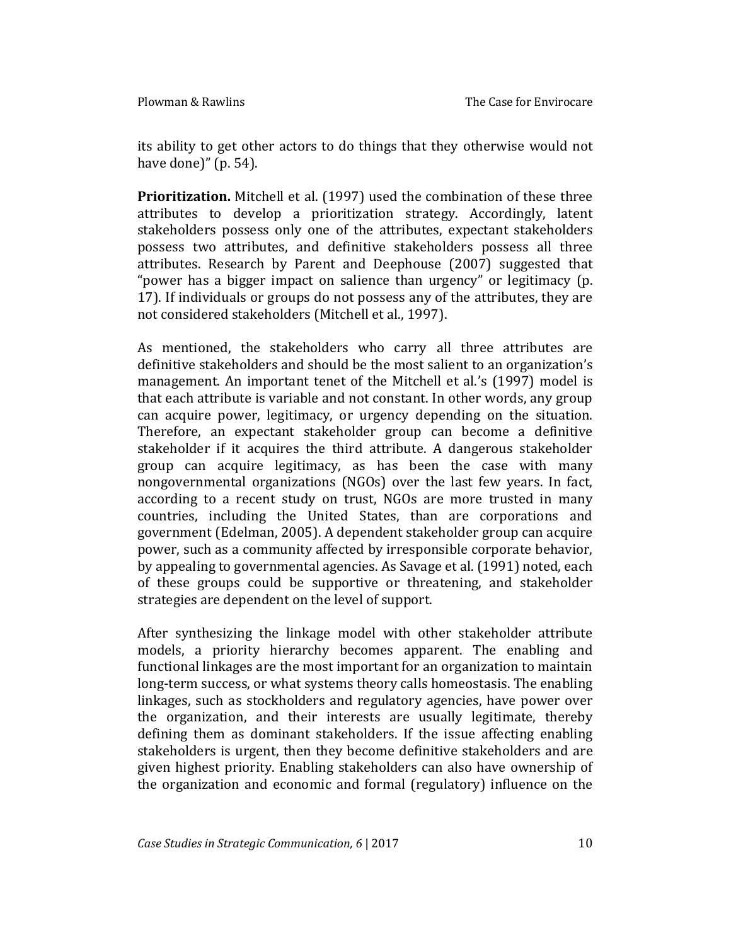its ability to get other actors to do things that they otherwise would not have done)" (p. 54).

**Prioritization.** Mitchell et al. (1997) used the combination of these three attributes to develop a prioritization strategy. Accordingly, latent stakeholders possess only one of the attributes, expectant stakeholders possess two attributes, and definitive stakeholders possess all three attributes. Research by Parent and Deephouse (2007) suggested that "power has a bigger impact on salience than urgency" or legitimacy (p. 17). If individuals or groups do not possess any of the attributes, they are not considered stakeholders (Mitchell et al., 1997).

As mentioned, the stakeholders who carry all three attributes are definitive stakeholders and should be the most salient to an organization's management. An important tenet of the Mitchell et al.'s (1997) model is that each attribute is variable and not constant. In other words, any group can acquire power, legitimacy, or urgency depending on the situation. Therefore, an expectant stakeholder group can become a definitive stakeholder if it acquires the third attribute. A dangerous stakeholder group can acquire legitimacy, as has been the case with many nongovernmental organizations (NGOs) over the last few years. In fact, according to a recent study on trust, NGOs are more trusted in many countries, including the United States, than are corporations and government (Edelman, 2005). A dependent stakeholder group can acquire power, such as a community affected by irresponsible corporate behavior, by appealing to governmental agencies. As Savage et al. (1991) noted, each of these groups could be supportive or threatening, and stakeholder strategies are dependent on the level of support.

After synthesizing the linkage model with other stakeholder attribute models, a priority hierarchy becomes apparent. The enabling and functional linkages are the most important for an organization to maintain long-term success, or what systems theory calls homeostasis. The enabling linkages, such as stockholders and regulatory agencies, have power over the organization, and their interests are usually legitimate, thereby defining them as dominant stakeholders. If the issue affecting enabling stakeholders is urgent, then they become definitive stakeholders and are given highest priority. Enabling stakeholders can also have ownership of the organization and economic and formal (regulatory) influence on the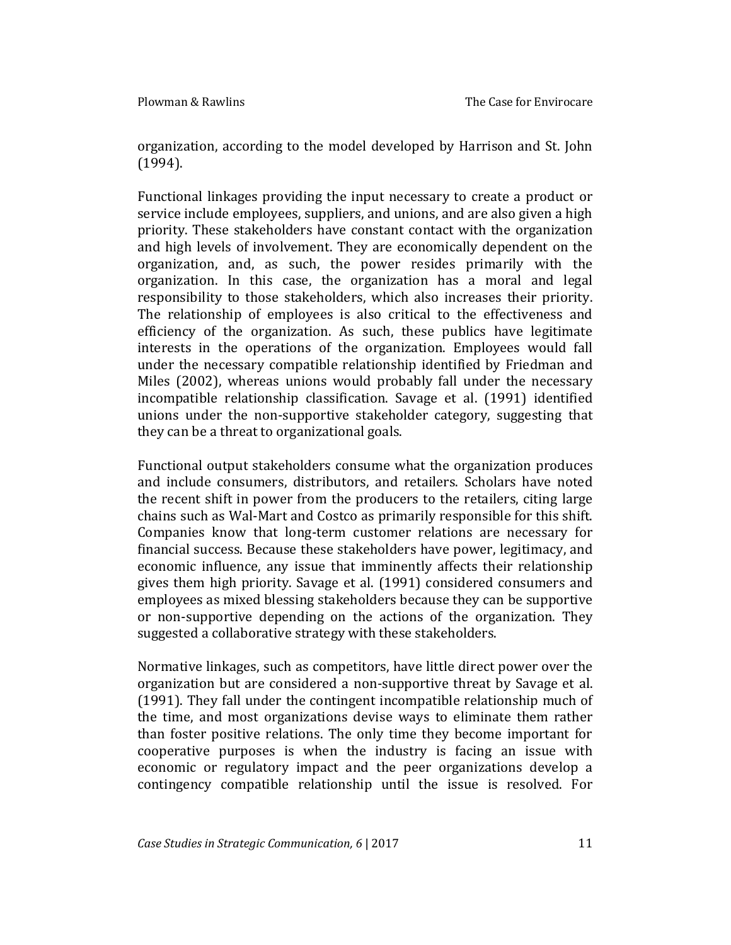organization, according to the model developed by Harrison and St. John (1994).

Functional linkages providing the input necessary to create a product or service include employees, suppliers, and unions, and are also given a high priority. These stakeholders have constant contact with the organization and high levels of involvement. They are economically dependent on the organization, and, as such, the power resides primarily with the organization. In this case, the organization has a moral and legal responsibility to those stakeholders, which also increases their priority. The relationship of employees is also critical to the effectiveness and efficiency of the organization. As such, these publics have legitimate interests in the operations of the organization. Employees would fall under the necessary compatible relationship identified by Friedman and Miles (2002), whereas unions would probably fall under the necessary incompatible relationship classification. Savage et al. (1991) identified unions under the non-supportive stakeholder category, suggesting that they can be a threat to organizational goals.

Functional output stakeholders consume what the organization produces and include consumers, distributors, and retailers. Scholars have noted the recent shift in power from the producers to the retailers, citing large chains such as Wal-Mart and Costco as primarily responsible for this shift. Companies know that long-term customer relations are necessary for financial success. Because these stakeholders have power, legitimacy, and economic influence, any issue that imminently affects their relationship gives them high priority. Savage et al. (1991) considered consumers and employees as mixed blessing stakeholders because they can be supportive or non-supportive depending on the actions of the organization. They suggested a collaborative strategy with these stakeholders.

Normative linkages, such as competitors, have little direct power over the organization but are considered a non-supportive threat by Savage et al. (1991). They fall under the contingent incompatible relationship much of the time, and most organizations devise ways to eliminate them rather than foster positive relations. The only time they become important for cooperative purposes is when the industry is facing an issue with economic or regulatory impact and the peer organizations develop a contingency compatible relationship until the issue is resolved. For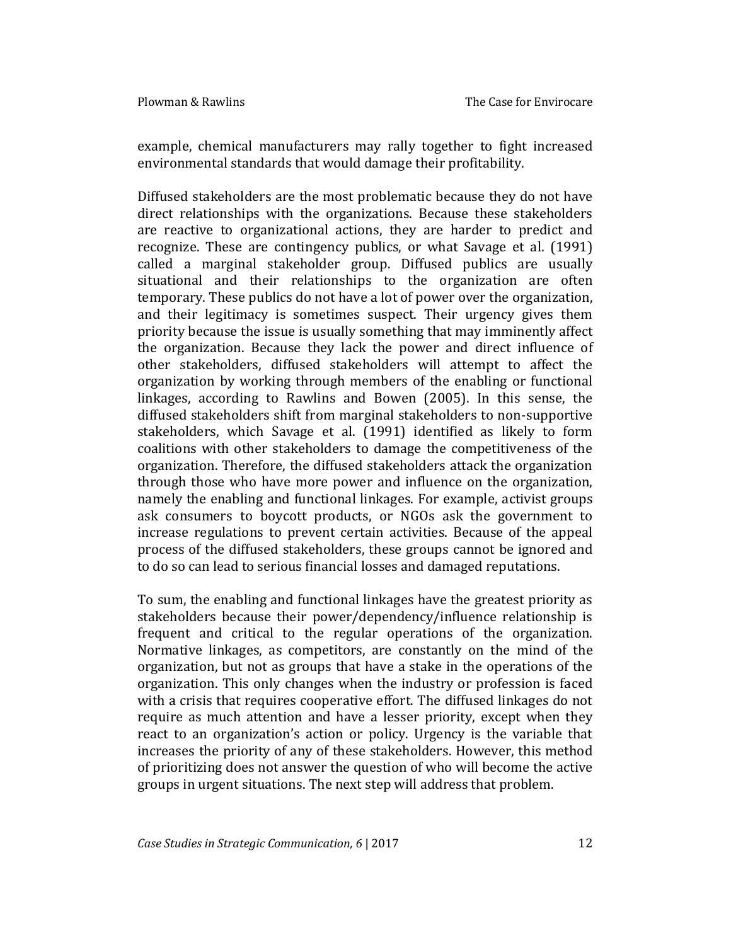example, chemical manufacturers may rally together to fight increased environmental standards that would damage their profitability.

Diffused stakeholders are the most problematic because they do not have direct relationships with the organizations. Because these stakeholders are reactive to organizational actions, they are harder to predict and recognize. These are contingency publics, or what Savage et al. (1991) called a marginal stakeholder group. Diffused publics are usually situational and their relationships to the organization are often temporary. These publics do not have a lot of power over the organization, and their legitimacy is sometimes suspect. Their urgency gives them priority because the issue is usually something that may imminently affect the organization. Because they lack the power and direct influence of other stakeholders, diffused stakeholders will attempt to affect the organization by working through members of the enabling or functional linkages, according to Rawlins and Bowen (2005). In this sense, the diffused stakeholders shift from marginal stakeholders to non-supportive stakeholders, which Savage et al. (1991) identified as likely to form coalitions with other stakeholders to damage the competitiveness of the organization. Therefore, the diffused stakeholders attack the organization through those who have more power and influence on the organization, namely the enabling and functional linkages. For example, activist groups ask consumers to boycott products, or NGOs ask the government to increase regulations to prevent certain activities. Because of the appeal process of the diffused stakeholders, these groups cannot be ignored and to do so can lead to serious financial losses and damaged reputations.

To sum, the enabling and functional linkages have the greatest priority as stakeholders because their power/dependency/influence relationship is frequent and critical to the regular operations of the organization. Normative linkages, as competitors, are constantly on the mind of the organization, but not as groups that have a stake in the operations of the organization. This only changes when the industry or profession is faced with a crisis that requires cooperative effort. The diffused linkages do not require as much attention and have a lesser priority, except when they react to an organization's action or policy. Urgency is the variable that increases the priority of any of these stakeholders. However, this method of prioritizing does not answer the question of who will become the active groups in urgent situations. The next step will address that problem.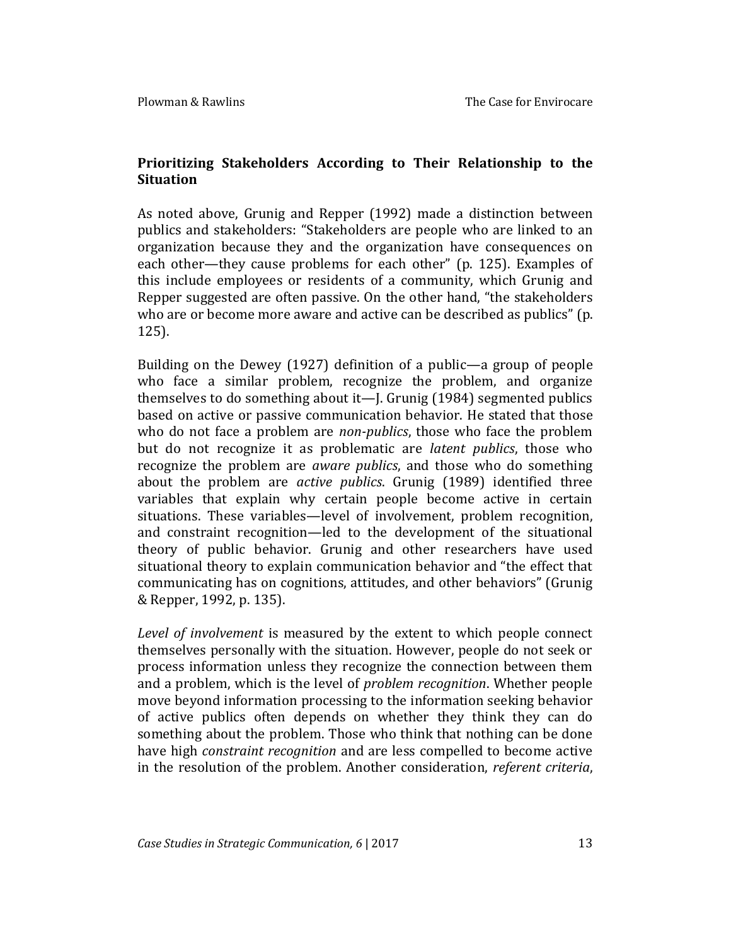### **Prioritizing Stakeholders According to Their Relationship to the Situation**

As noted above, Grunig and Repper (1992) made a distinction between publics and stakeholders: "Stakeholders are people who are linked to an organization because they and the organization have consequences on each other—they cause problems for each other" (p. 125). Examples of this include employees or residents of a community, which Grunig and Repper suggested are often passive. On the other hand, "the stakeholders who are or become more aware and active can be described as publics" (p. 125).

Building on the Dewey (1927) definition of a public—a group of people who face a similar problem, recognize the problem, and organize themselves to do something about it—J. Grunig (1984) segmented publics based on active or passive communication behavior. He stated that those who do not face a problem are *non-publics*, those who face the problem but do not recognize it as problematic are *latent publics*, those who recognize the problem are *aware publics*, and those who do something about the problem are *active publics*. Grunig (1989) identified three variables that explain why certain people become active in certain situations. These variables—level of involvement, problem recognition, and constraint recognition—led to the development of the situational theory of public behavior. Grunig and other researchers have used situational theory to explain communication behavior and "the effect that communicating has on cognitions, attitudes, and other behaviors" (Grunig & Repper, 1992, p. 135).

*Level of involvement* is measured by the extent to which people connect themselves personally with the situation. However, people do not seek or process information unless they recognize the connection between them and a problem, which is the level of *problem recognition*. Whether people move beyond information processing to the information seeking behavior of active publics often depends on whether they think they can do something about the problem. Those who think that nothing can be done have high *constraint recognition* and are less compelled to become active in the resolution of the problem. Another consideration, *referent criteria*,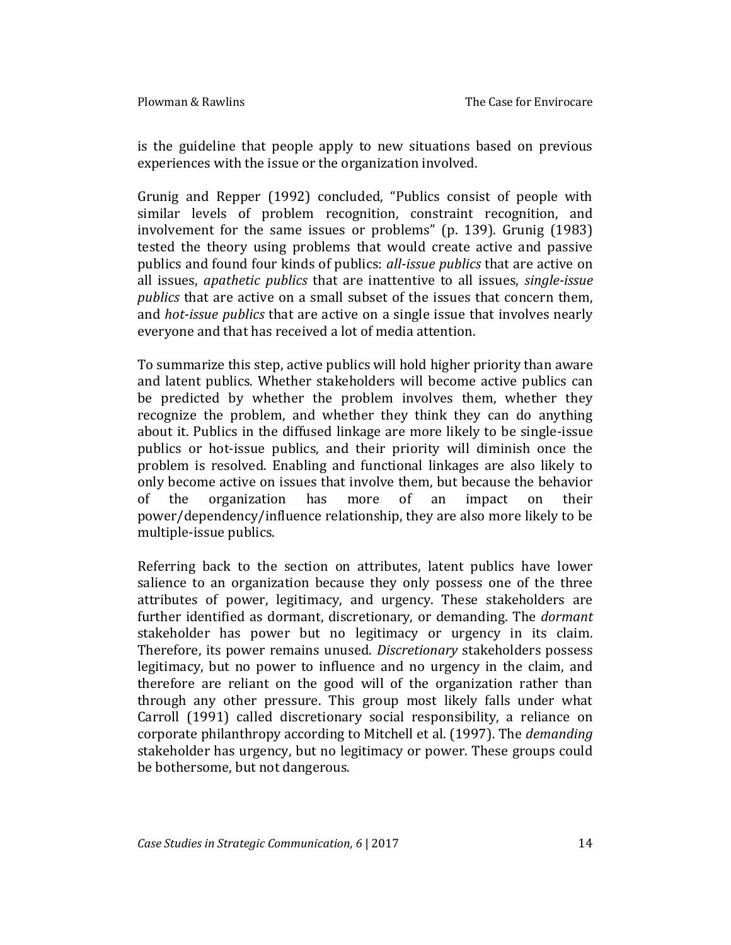is the guideline that people apply to new situations based on previous experiences with the issue or the organization involved.

Grunig and Repper (1992) concluded, "Publics consist of people with similar levels of problem recognition, constraint recognition, and involvement for the same issues or problems" (p. 139). Grunig (1983) tested the theory using problems that would create active and passive publics and found four kinds of publics: *all-issue publics* that are active on all issues, *apathetic publics* that are inattentive to all issues, *single-issue publics* that are active on a small subset of the issues that concern them, and *hot-issue publics* that are active on a single issue that involves nearly everyone and that has received a lot of media attention.

To summarize this step, active publics will hold higher priority than aware and latent publics. Whether stakeholders will become active publics can be predicted by whether the problem involves them, whether they recognize the problem, and whether they think they can do anything about it. Publics in the diffused linkage are more likely to be single-issue publics or hot-issue publics, and their priority will diminish once the problem is resolved. Enabling and functional linkages are also likely to only become active on issues that involve them, but because the behavior of the organization has more of an impact on their power/dependency/influence relationship, they are also more likely to be multiple-issue publics.

Referring back to the section on attributes, latent publics have lower salience to an organization because they only possess one of the three attributes of power, legitimacy, and urgency. These stakeholders are further identified as dormant, discretionary, or demanding. The *dormant* stakeholder has power but no legitimacy or urgency in its claim. Therefore, its power remains unused. *Discretionary* stakeholders possess legitimacy, but no power to influence and no urgency in the claim, and therefore are reliant on the good will of the organization rather than through any other pressure. This group most likely falls under what Carroll (1991) called discretionary social responsibility, a reliance on corporate philanthropy according to Mitchell et al. (1997). The *demanding* stakeholder has urgency, but no legitimacy or power. These groups could be bothersome, but not dangerous.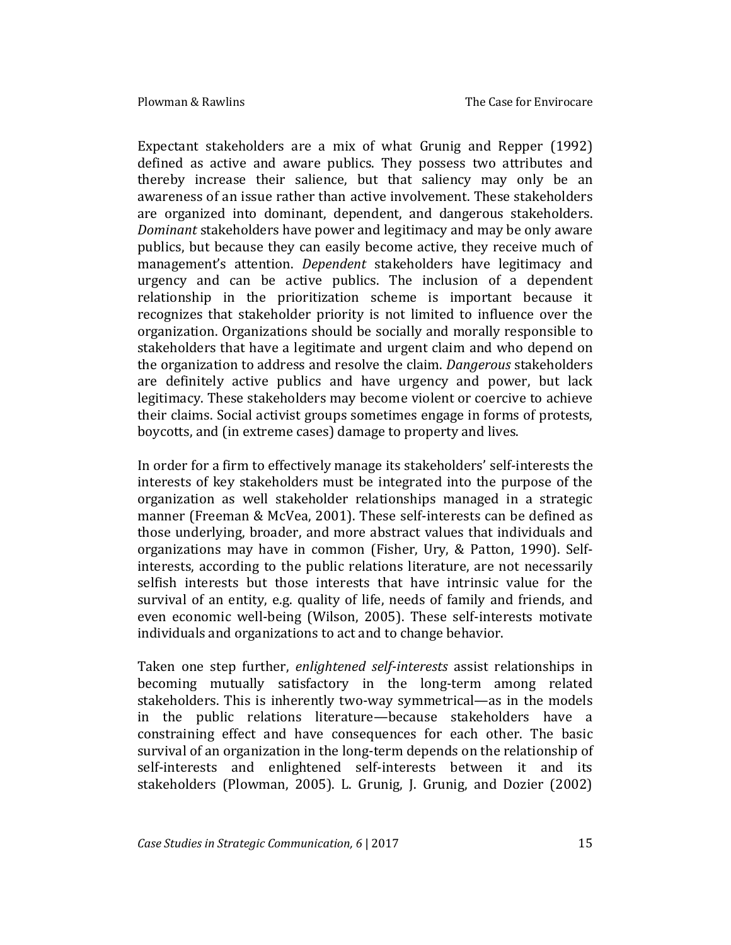Expectant stakeholders are a mix of what Grunig and Repper (1992) defined as active and aware publics. They possess two attributes and thereby increase their salience, but that saliency may only be an awareness of an issue rather than active involvement. These stakeholders are organized into dominant, dependent, and dangerous stakeholders. *Dominant* stakeholders have power and legitimacy and may be only aware publics, but because they can easily become active, they receive much of management's attention. *Dependent* stakeholders have legitimacy and urgency and can be active publics. The inclusion of a dependent relationship in the prioritization scheme is important because it recognizes that stakeholder priority is not limited to influence over the organization. Organizations should be socially and morally responsible to stakeholders that have a legitimate and urgent claim and who depend on the organization to address and resolve the claim. *Dangerous* stakeholders are definitely active publics and have urgency and power, but lack legitimacy. These stakeholders may become violent or coercive to achieve their claims. Social activist groups sometimes engage in forms of protests, boycotts, and (in extreme cases) damage to property and lives.

In order for a firm to effectively manage its stakeholders' self-interests the interests of key stakeholders must be integrated into the purpose of the organization as well stakeholder relationships managed in a strategic manner (Freeman & McVea, 2001). These self-interests can be defined as those underlying, broader, and more abstract values that individuals and organizations may have in common (Fisher, Ury, & Patton, 1990). Selfinterests, according to the public relations literature, are not necessarily selfish interests but those interests that have intrinsic value for the survival of an entity, e.g. quality of life, needs of family and friends, and even economic well-being (Wilson, 2005). These self-interests motivate individuals and organizations to act and to change behavior.

Taken one step further, *enlightened self-interests* assist relationships in becoming mutually satisfactory in the long-term among related stakeholders. This is inherently two-way symmetrical—as in the models in the public relations literature—because stakeholders have a constraining effect and have consequences for each other. The basic survival of an organization in the long-term depends on the relationship of self-interests and enlightened self-interests between it and its stakeholders (Plowman, 2005). L. Grunig, J. Grunig, and Dozier (2002)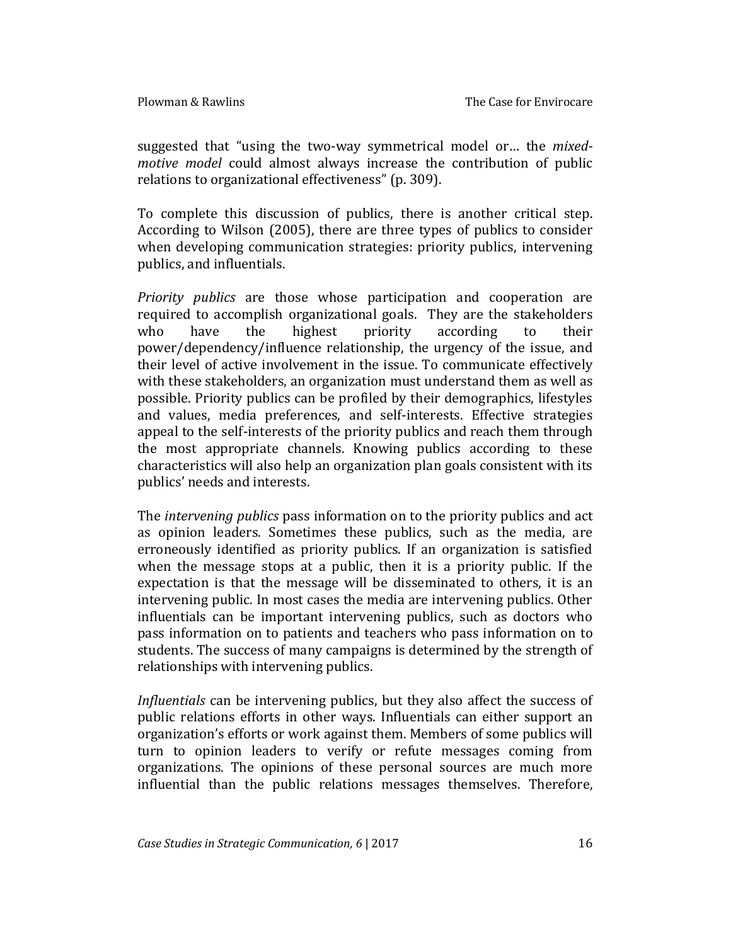suggested that "using the two-way symmetrical model or… the *mixedmotive model* could almost always increase the contribution of public relations to organizational effectiveness" (p. 309).

To complete this discussion of publics, there is another critical step. According to Wilson (2005), there are three types of publics to consider when developing communication strategies: priority publics, intervening publics, and influentials.

*Priority publics* are those whose participation and cooperation are required to accomplish organizational goals. They are the stakeholders who have the highest priority according to their power/dependency/influence relationship, the urgency of the issue, and their level of active involvement in the issue. To communicate effectively with these stakeholders, an organization must understand them as well as possible. Priority publics can be profiled by their demographics, lifestyles and values, media preferences, and self-interests. Effective strategies appeal to the self-interests of the priority publics and reach them through the most appropriate channels. Knowing publics according to these characteristics will also help an organization plan goals consistent with its publics' needs and interests.

The *intervening publics* pass information on to the priority publics and act as opinion leaders. Sometimes these publics, such as the media, are erroneously identified as priority publics. If an organization is satisfied when the message stops at a public, then it is a priority public. If the expectation is that the message will be disseminated to others, it is an intervening public. In most cases the media are intervening publics. Other influentials can be important intervening publics, such as doctors who pass information on to patients and teachers who pass information on to students. The success of many campaigns is determined by the strength of relationships with intervening publics.

*Influentials* can be intervening publics, but they also affect the success of public relations efforts in other ways. Influentials can either support an organization's efforts or work against them. Members of some publics will turn to opinion leaders to verify or refute messages coming from organizations. The opinions of these personal sources are much more influential than the public relations messages themselves. Therefore,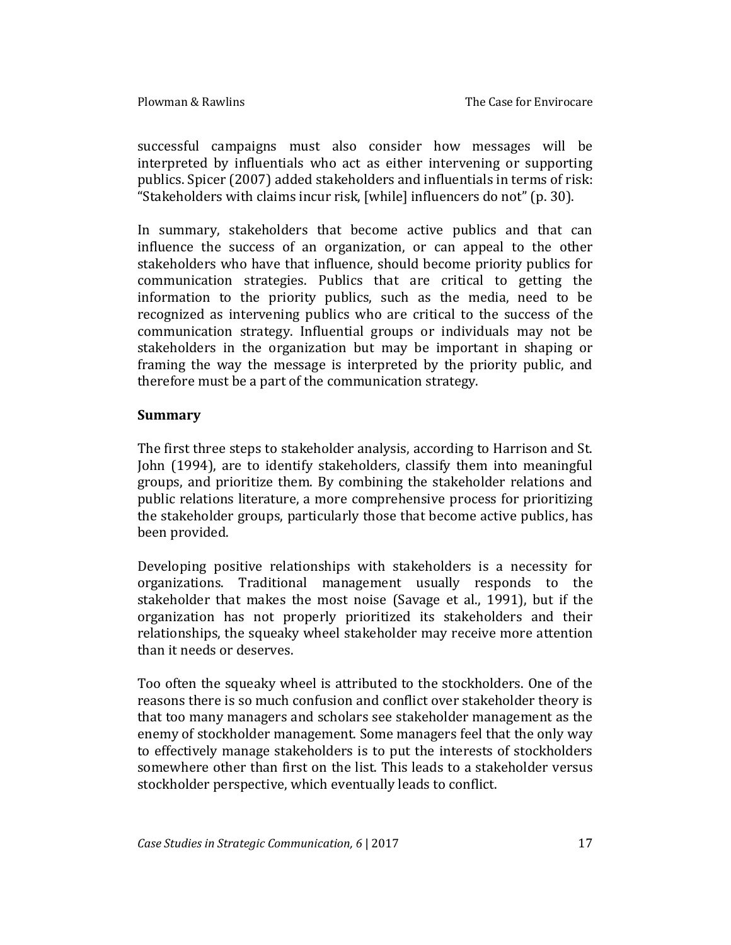successful campaigns must also consider how messages will be interpreted by influentials who act as either intervening or supporting publics. Spicer (2007) added stakeholders and influentials in terms of risk: "Stakeholders with claims incur risk, [while] influencers do not" (p. 30).

In summary, stakeholders that become active publics and that can influence the success of an organization, or can appeal to the other stakeholders who have that influence, should become priority publics for communication strategies. Publics that are critical to getting the information to the priority publics, such as the media, need to be recognized as intervening publics who are critical to the success of the communication strategy. Influential groups or individuals may not be stakeholders in the organization but may be important in shaping or framing the way the message is interpreted by the priority public, and therefore must be a part of the communication strategy.

#### **Summary**

The first three steps to stakeholder analysis, according to Harrison and St. John (1994), are to identify stakeholders, classify them into meaningful groups, and prioritize them. By combining the stakeholder relations and public relations literature, a more comprehensive process for prioritizing the stakeholder groups, particularly those that become active publics, has been provided.

Developing positive relationships with stakeholders is a necessity for organizations. Traditional management usually responds to the stakeholder that makes the most noise (Savage et al., 1991), but if the organization has not properly prioritized its stakeholders and their relationships, the squeaky wheel stakeholder may receive more attention than it needs or deserves.

Too often the squeaky wheel is attributed to the stockholders. One of the reasons there is so much confusion and conflict over stakeholder theory is that too many managers and scholars see stakeholder management as the enemy of stockholder management. Some managers feel that the only way to effectively manage stakeholders is to put the interests of stockholders somewhere other than first on the list. This leads to a stakeholder versus stockholder perspective, which eventually leads to conflict.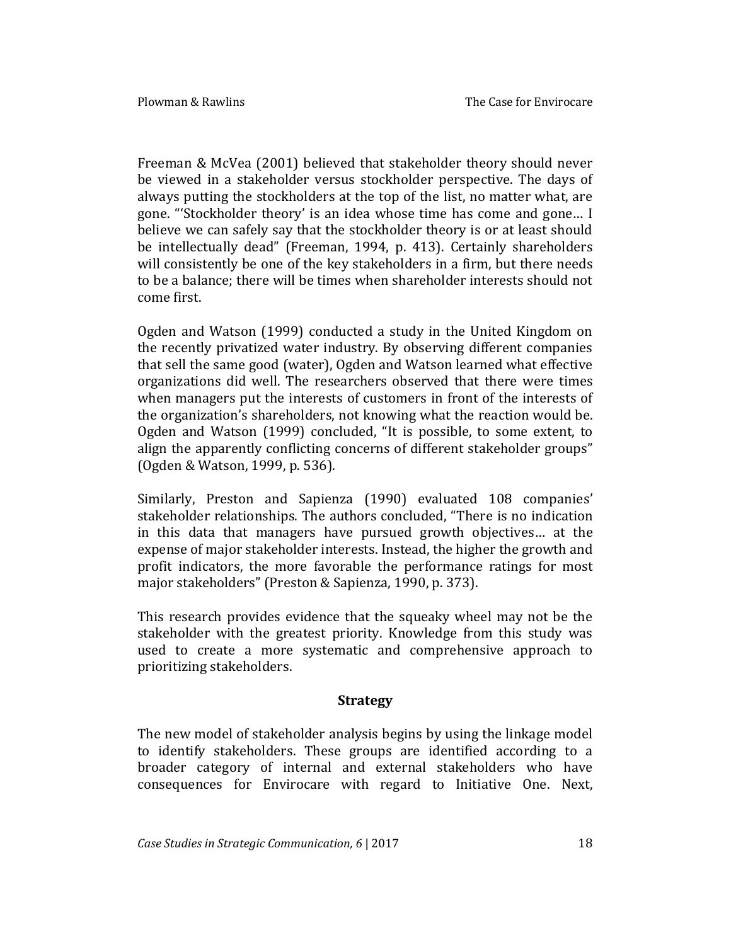Freeman & McVea (2001) believed that stakeholder theory should never be viewed in a stakeholder versus stockholder perspective. The days of always putting the stockholders at the top of the list, no matter what, are gone. "'Stockholder theory' is an idea whose time has come and gone… I believe we can safely say that the stockholder theory is or at least should be intellectually dead" (Freeman, 1994, p. 413). Certainly shareholders will consistently be one of the key stakeholders in a firm, but there needs to be a balance; there will be times when shareholder interests should not come first.

Ogden and Watson (1999) conducted a study in the United Kingdom on the recently privatized water industry. By observing different companies that sell the same good (water), Ogden and Watson learned what effective organizations did well. The researchers observed that there were times when managers put the interests of customers in front of the interests of the organization's shareholders, not knowing what the reaction would be. Ogden and Watson (1999) concluded, "It is possible, to some extent, to align the apparently conflicting concerns of different stakeholder groups" (Ogden & Watson, 1999, p. 536).

Similarly, Preston and Sapienza (1990) evaluated 108 companies' stakeholder relationships. The authors concluded, "There is no indication in this data that managers have pursued growth objectives… at the expense of major stakeholder interests. Instead, the higher the growth and profit indicators, the more favorable the performance ratings for most major stakeholders" (Preston & Sapienza, 1990, p. 373).

This research provides evidence that the squeaky wheel may not be the stakeholder with the greatest priority. Knowledge from this study was used to create a more systematic and comprehensive approach to prioritizing stakeholders.

## **Strategy**

The new model of stakeholder analysis begins by using the linkage model to identify stakeholders. These groups are identified according to a broader category of internal and external stakeholders who have consequences for Envirocare with regard to Initiative One. Next,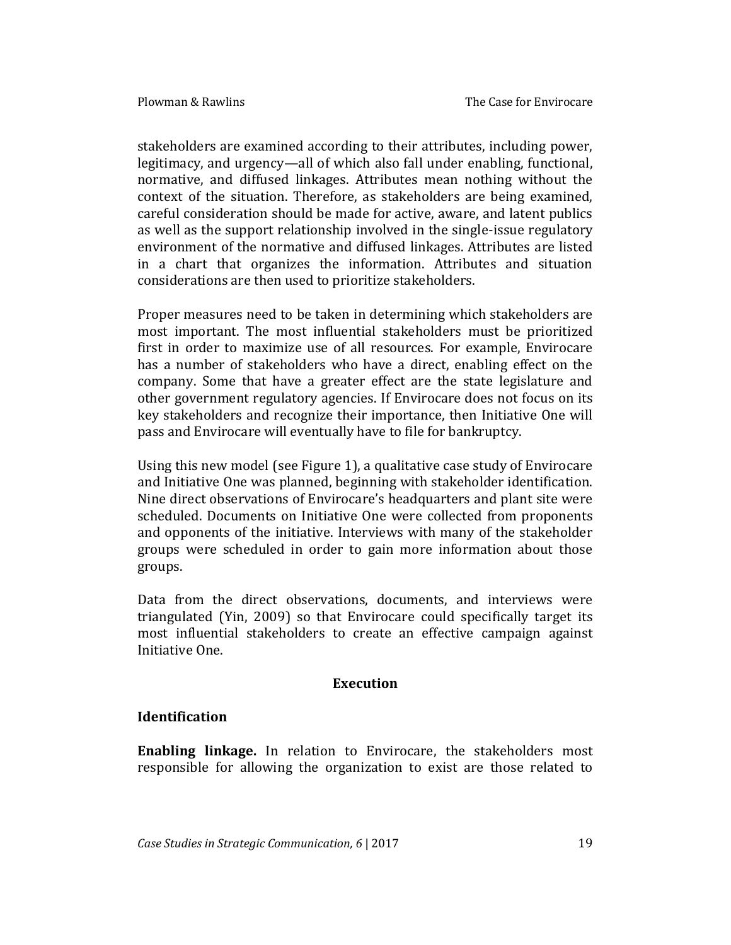stakeholders are examined according to their attributes, including power, legitimacy, and urgency—all of which also fall under enabling, functional, normative, and diffused linkages. Attributes mean nothing without the context of the situation. Therefore, as stakeholders are being examined, careful consideration should be made for active, aware, and latent publics as well as the support relationship involved in the single-issue regulatory environment of the normative and diffused linkages. Attributes are listed in a chart that organizes the information. Attributes and situation considerations are then used to prioritize stakeholders.

Proper measures need to be taken in determining which stakeholders are most important. The most influential stakeholders must be prioritized first in order to maximize use of all resources. For example, Envirocare has a number of stakeholders who have a direct, enabling effect on the company. Some that have a greater effect are the state legislature and other government regulatory agencies. If Envirocare does not focus on its key stakeholders and recognize their importance, then Initiative One will pass and Envirocare will eventually have to file for bankruptcy.

Using this new model (see Figure 1), a qualitative case study of Envirocare and Initiative One was planned, beginning with stakeholder identification. Nine direct observations of Envirocare's headquarters and plant site were scheduled. Documents on Initiative One were collected from proponents and opponents of the initiative. Interviews with many of the stakeholder groups were scheduled in order to gain more information about those groups.

Data from the direct observations, documents, and interviews were triangulated (Yin, 2009) so that Envirocare could specifically target its most influential stakeholders to create an effective campaign against Initiative One.

### **Execution**

### **Identification**

**Enabling linkage.** In relation to Envirocare, the stakeholders most responsible for allowing the organization to exist are those related to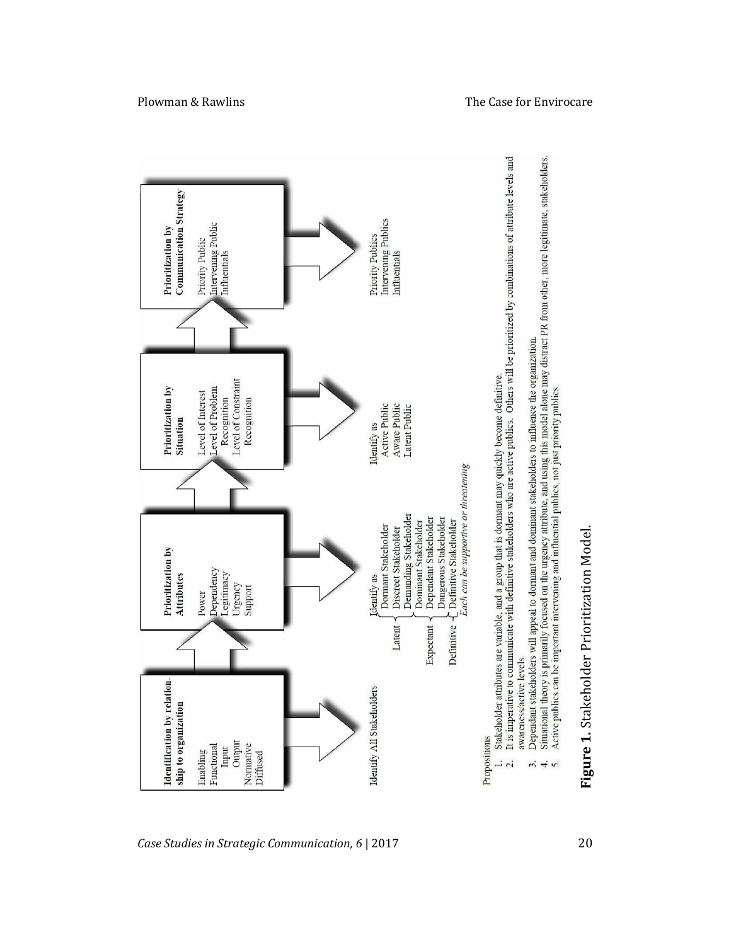

Plowman & Rawlins The Case for Envirocare

**1.** Stakeholder Prioritization Model.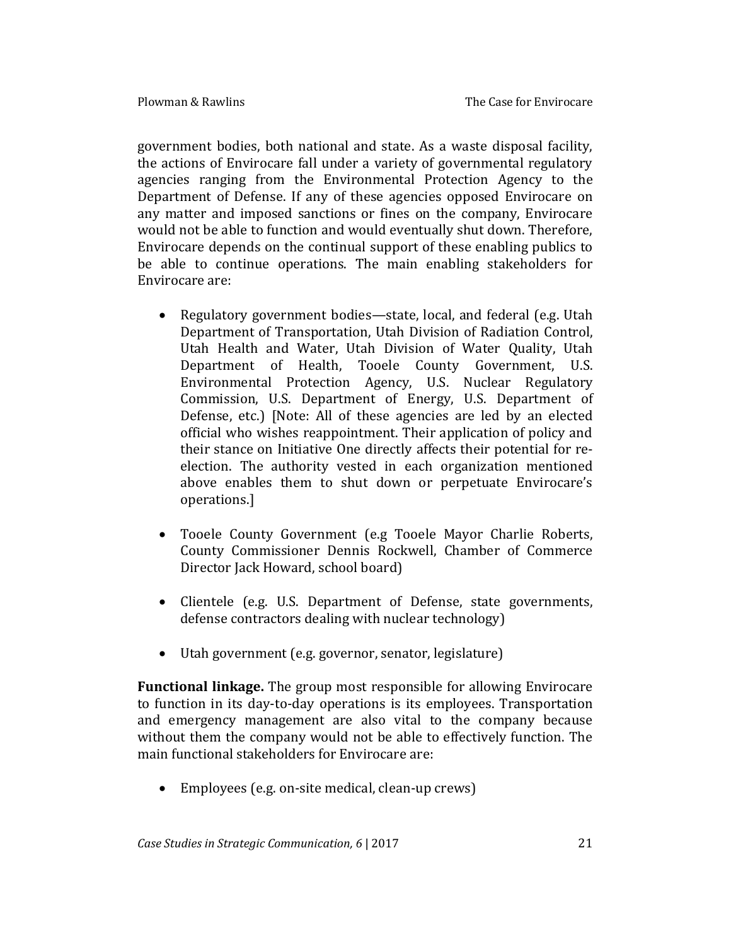government bodies, both national and state. As a waste disposal facility, the actions of Envirocare fall under a variety of governmental regulatory agencies ranging from the Environmental Protection Agency to the Department of Defense. If any of these agencies opposed Envirocare on any matter and imposed sanctions or fines on the company, Envirocare would not be able to function and would eventually shut down. Therefore, Envirocare depends on the continual support of these enabling publics to be able to continue operations. The main enabling stakeholders for Envirocare are:

- Regulatory government bodies—state, local, and federal (e.g. Utah Department of Transportation, Utah Division of Radiation Control, Utah Health and Water, Utah Division of Water Quality, Utah Department of Health, Tooele County Government, U.S. Environmental Protection Agency, U.S. Nuclear Regulatory Commission, U.S. Department of Energy, U.S. Department of Defense, etc.) [Note: All of these agencies are led by an elected official who wishes reappointment. Their application of policy and their stance on Initiative One directly affects their potential for reelection. The authority vested in each organization mentioned above enables them to shut down or perpetuate Envirocare's operations.]
- Tooele County Government (e.g Tooele Mayor Charlie Roberts, County Commissioner Dennis Rockwell, Chamber of Commerce Director Jack Howard, school board)
- Clientele (e.g. U.S. Department of Defense, state governments, defense contractors dealing with nuclear technology)
- Utah government (e.g. governor, senator, legislature)

**Functional linkage.** The group most responsible for allowing Envirocare to function in its day-to-day operations is its employees. Transportation and emergency management are also vital to the company because without them the company would not be able to effectively function. The main functional stakeholders for Envirocare are:

Employees (e.g. on-site medical, clean-up crews)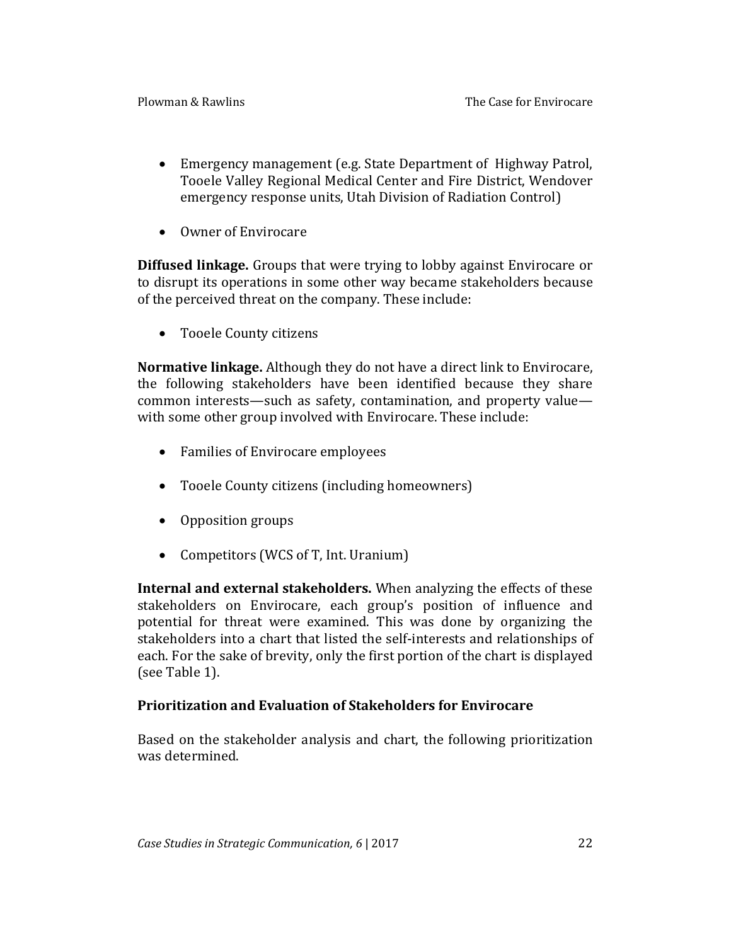- Emergency management (e.g. State Department of Highway Patrol, Tooele Valley Regional Medical Center and Fire District, Wendover emergency response units, Utah Division of Radiation Control)
- Owner of Envirocare

**Diffused linkage.** Groups that were trying to lobby against Envirocare or to disrupt its operations in some other way became stakeholders because of the perceived threat on the company. These include:

Tooele County citizens

**Normative linkage.** Although they do not have a direct link to Envirocare, the following stakeholders have been identified because they share common interests—such as safety, contamination, and property value with some other group involved with Envirocare. These include:

- Families of Envirocare employees
- Tooele County citizens (including homeowners)
- Opposition groups
- Competitors (WCS of T, Int. Uranium)

**Internal and external stakeholders.** When analyzing the effects of these stakeholders on Envirocare, each group's position of influence and potential for threat were examined. This was done by organizing the stakeholders into a chart that listed the self-interests and relationships of each. For the sake of brevity, only the first portion of the chart is displayed (see Table 1).

### **Prioritization and Evaluation of Stakeholders for Envirocare**

Based on the stakeholder analysis and chart, the following prioritization was determined.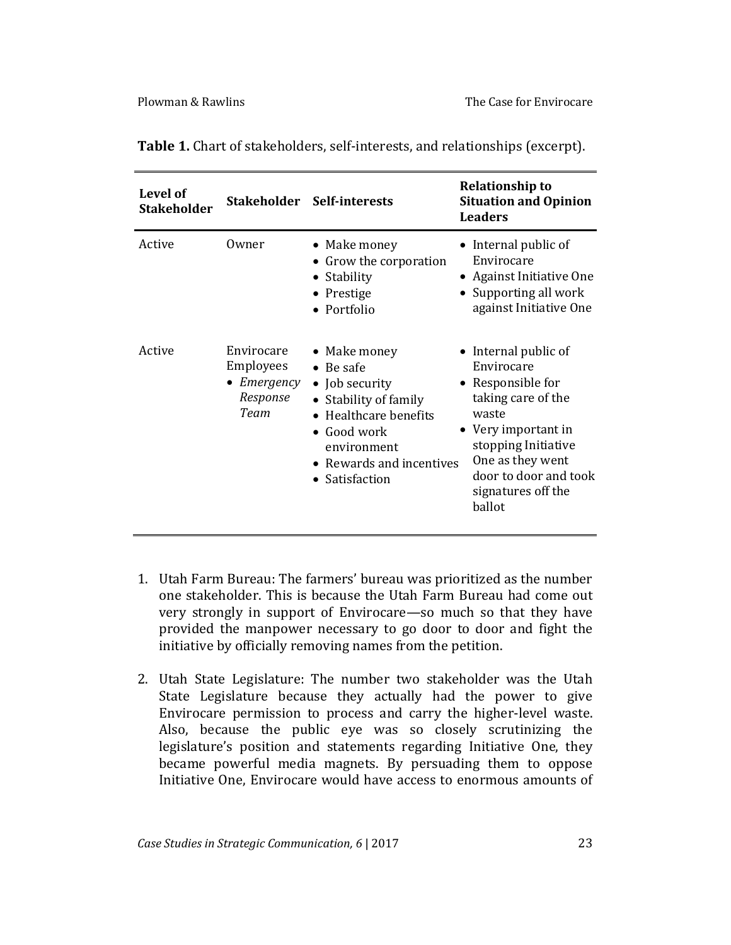| Level of<br><b>Stakeholder</b> |                                                                    | Stakeholder Self-interests                                                                                                                                                    | <b>Relationship to</b><br><b>Situation and Opinion</b><br><b>Leaders</b>                                                                                                                                          |
|--------------------------------|--------------------------------------------------------------------|-------------------------------------------------------------------------------------------------------------------------------------------------------------------------------|-------------------------------------------------------------------------------------------------------------------------------------------------------------------------------------------------------------------|
| Active                         | Owner                                                              | • Make money<br>• Grow the corporation<br>Stability<br>$\bullet$<br>• Prestige<br>• Portfolio                                                                                 | Internal public of<br>Envirocare<br>• Against Initiative One<br>• Supporting all work<br>against Initiative One                                                                                                   |
| Active                         | Envirocare<br>Employees<br>$\bullet$ Emergency<br>Response<br>Team | • Make money<br>$\bullet$ Be safe<br>• Job security<br>Stability of family<br>Healthcare benefits<br>• Good work<br>environment<br>• Rewards and incentives<br>• Satisfaction | • Internal public of<br>Envirocare<br>• Responsible for<br>taking care of the<br>waste<br>• Very important in<br>stopping Initiative<br>One as they went<br>door to door and took<br>signatures off the<br>ballot |

**Table 1.** Chart of stakeholders, self-interests, and relationships (excerpt).

- 1. Utah Farm Bureau: The farmers' bureau was prioritized as the number one stakeholder. This is because the Utah Farm Bureau had come out very strongly in support of Envirocare—so much so that they have provided the manpower necessary to go door to door and fight the initiative by officially removing names from the petition.
- 2. Utah State Legislature: The number two stakeholder was the Utah State Legislature because they actually had the power to give Envirocare permission to process and carry the higher-level waste. Also, because the public eye was so closely scrutinizing the legislature's position and statements regarding Initiative One, they became powerful media magnets. By persuading them to oppose Initiative One, Envirocare would have access to enormous amounts of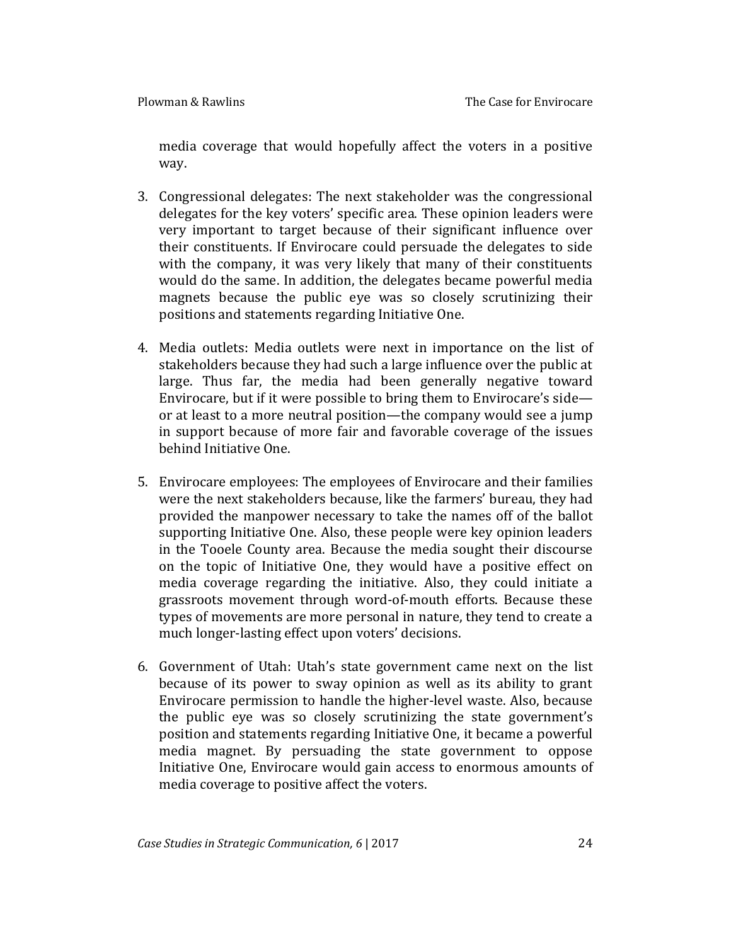media coverage that would hopefully affect the voters in a positive way.

- 3. Congressional delegates: The next stakeholder was the congressional delegates for the key voters' specific area. These opinion leaders were very important to target because of their significant influence over their constituents. If Envirocare could persuade the delegates to side with the company, it was very likely that many of their constituents would do the same. In addition, the delegates became powerful media magnets because the public eye was so closely scrutinizing their positions and statements regarding Initiative One.
- 4. Media outlets: Media outlets were next in importance on the list of stakeholders because they had such a large influence over the public at large. Thus far, the media had been generally negative toward Envirocare, but if it were possible to bring them to Envirocare's side or at least to a more neutral position—the company would see a jump in support because of more fair and favorable coverage of the issues behind Initiative One.
- 5. Envirocare employees: The employees of Envirocare and their families were the next stakeholders because, like the farmers' bureau, they had provided the manpower necessary to take the names off of the ballot supporting Initiative One. Also, these people were key opinion leaders in the Tooele County area. Because the media sought their discourse on the topic of Initiative One, they would have a positive effect on media coverage regarding the initiative. Also, they could initiate a grassroots movement through word-of-mouth efforts. Because these types of movements are more personal in nature, they tend to create a much longer-lasting effect upon voters' decisions.
- 6. Government of Utah: Utah's state government came next on the list because of its power to sway opinion as well as its ability to grant Envirocare permission to handle the higher-level waste. Also, because the public eye was so closely scrutinizing the state government's position and statements regarding Initiative One, it became a powerful media magnet. By persuading the state government to oppose Initiative One, Envirocare would gain access to enormous amounts of media coverage to positive affect the voters.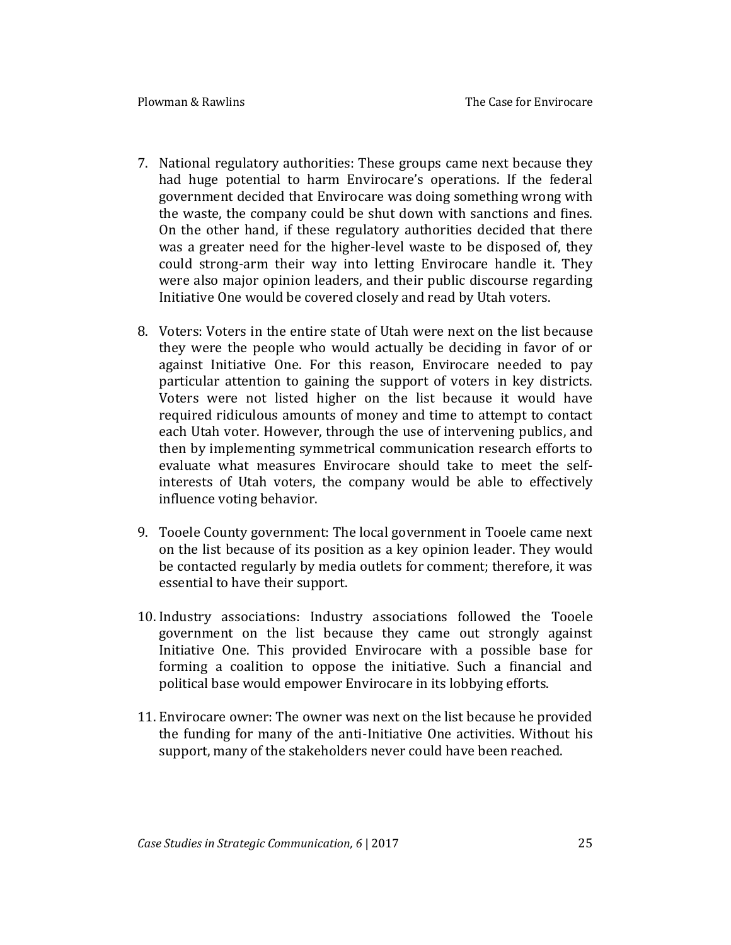- 7. National regulatory authorities: These groups came next because they had huge potential to harm Envirocare's operations. If the federal government decided that Envirocare was doing something wrong with the waste, the company could be shut down with sanctions and fines. On the other hand, if these regulatory authorities decided that there was a greater need for the higher-level waste to be disposed of, they could strong-arm their way into letting Envirocare handle it. They were also major opinion leaders, and their public discourse regarding Initiative One would be covered closely and read by Utah voters.
- 8. Voters: Voters in the entire state of Utah were next on the list because they were the people who would actually be deciding in favor of or against Initiative One. For this reason, Envirocare needed to pay particular attention to gaining the support of voters in key districts. Voters were not listed higher on the list because it would have required ridiculous amounts of money and time to attempt to contact each Utah voter. However, through the use of intervening publics, and then by implementing symmetrical communication research efforts to evaluate what measures Envirocare should take to meet the selfinterests of Utah voters, the company would be able to effectively influence voting behavior.
- 9. Tooele County government: The local government in Tooele came next on the list because of its position as a key opinion leader. They would be contacted regularly by media outlets for comment; therefore, it was essential to have their support.
- 10. Industry associations: Industry associations followed the Tooele government on the list because they came out strongly against Initiative One. This provided Envirocare with a possible base for forming a coalition to oppose the initiative. Such a financial and political base would empower Envirocare in its lobbying efforts.
- 11. Envirocare owner: The owner was next on the list because he provided the funding for many of the anti-Initiative One activities. Without his support, many of the stakeholders never could have been reached.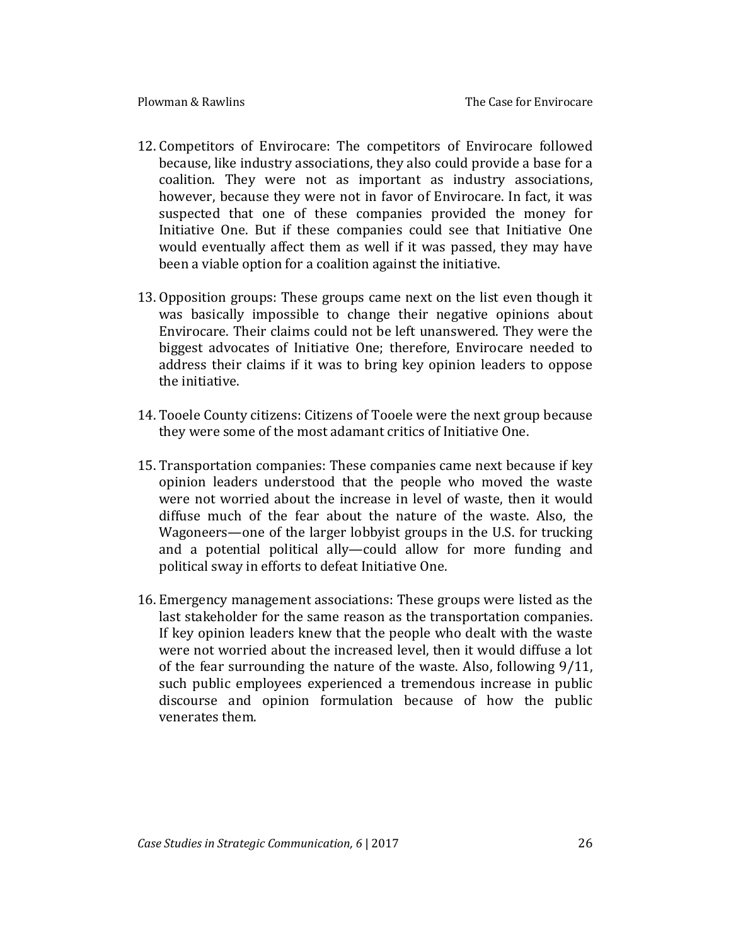- 12. Competitors of Envirocare: The competitors of Envirocare followed because, like industry associations, they also could provide a base for a coalition. They were not as important as industry associations, however, because they were not in favor of Envirocare. In fact, it was suspected that one of these companies provided the money for Initiative One. But if these companies could see that Initiative One would eventually affect them as well if it was passed, they may have been a viable option for a coalition against the initiative.
- 13. Opposition groups: These groups came next on the list even though it was basically impossible to change their negative opinions about Envirocare. Their claims could not be left unanswered. They were the biggest advocates of Initiative One; therefore, Envirocare needed to address their claims if it was to bring key opinion leaders to oppose the initiative.
- 14. Tooele County citizens: Citizens of Tooele were the next group because they were some of the most adamant critics of Initiative One.
- 15. Transportation companies: These companies came next because if key opinion leaders understood that the people who moved the waste were not worried about the increase in level of waste, then it would diffuse much of the fear about the nature of the waste. Also, the Wagoneers—one of the larger lobbyist groups in the U.S. for trucking and a potential political ally—could allow for more funding and political sway in efforts to defeat Initiative One.
- 16. Emergency management associations: These groups were listed as the last stakeholder for the same reason as the transportation companies. If key opinion leaders knew that the people who dealt with the waste were not worried about the increased level, then it would diffuse a lot of the fear surrounding the nature of the waste. Also, following 9/11, such public employees experienced a tremendous increase in public discourse and opinion formulation because of how the public venerates them.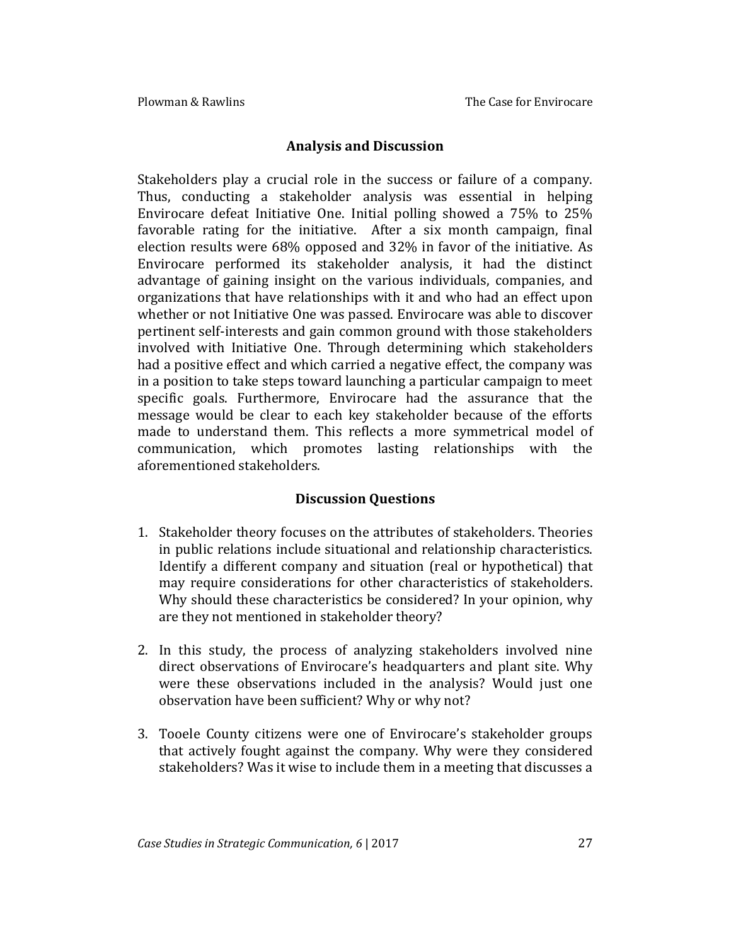#### **Analysis and Discussion**

Stakeholders play a crucial role in the success or failure of a company. Thus, conducting a stakeholder analysis was essential in helping Envirocare defeat Initiative One. Initial polling showed a 75% to 25% favorable rating for the initiative. After a six month campaign, final election results were 68% opposed and 32% in favor of the initiative. As Envirocare performed its stakeholder analysis, it had the distinct advantage of gaining insight on the various individuals, companies, and organizations that have relationships with it and who had an effect upon whether or not Initiative One was passed. Envirocare was able to discover pertinent self-interests and gain common ground with those stakeholders involved with Initiative One. Through determining which stakeholders had a positive effect and which carried a negative effect, the company was in a position to take steps toward launching a particular campaign to meet specific goals. Furthermore, Envirocare had the assurance that the message would be clear to each key stakeholder because of the efforts made to understand them. This reflects a more symmetrical model of communication, which promotes lasting relationships with the aforementioned stakeholders.

### **Discussion Questions**

- 1. Stakeholder theory focuses on the attributes of stakeholders. Theories in public relations include situational and relationship characteristics. Identify a different company and situation (real or hypothetical) that may require considerations for other characteristics of stakeholders. Why should these characteristics be considered? In your opinion, why are they not mentioned in stakeholder theory?
- 2. In this study, the process of analyzing stakeholders involved nine direct observations of Envirocare's headquarters and plant site. Why were these observations included in the analysis? Would just one observation have been sufficient? Why or why not?
- 3. Tooele County citizens were one of Envirocare's stakeholder groups that actively fought against the company. Why were they considered stakeholders? Was it wise to include them in a meeting that discusses a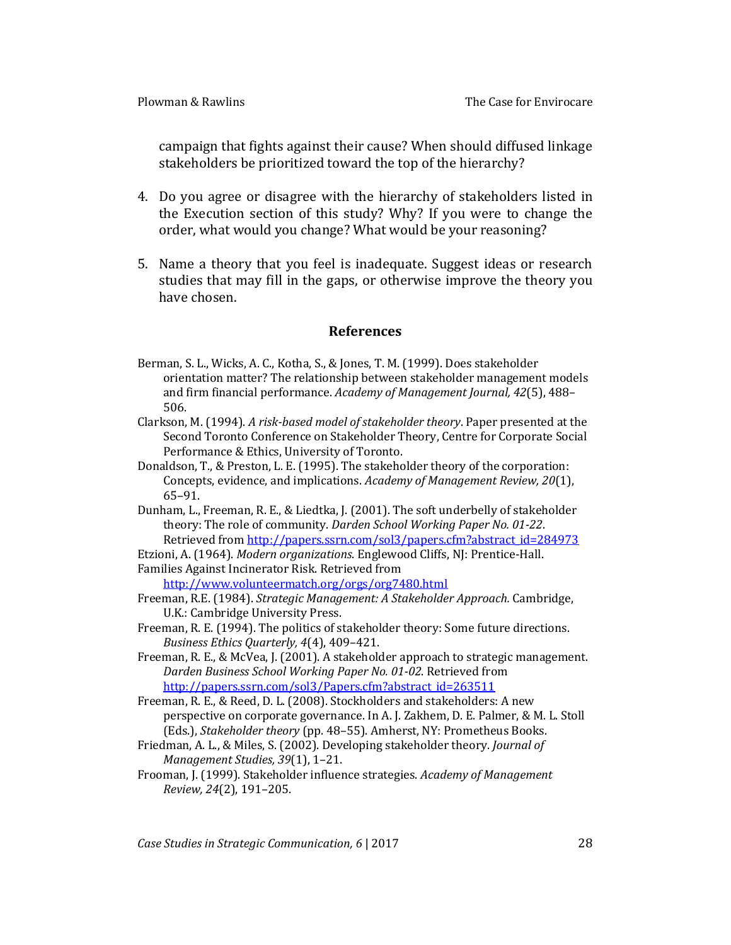campaign that fights against their cause? When should diffused linkage stakeholders be prioritized toward the top of the hierarchy?

- 4. Do you agree or disagree with the hierarchy of stakeholders listed in the Execution section of this study? Why? If you were to change the order, what would you change? What would be your reasoning?
- 5. Name a theory that you feel is inadequate. Suggest ideas or research studies that may fill in the gaps, or otherwise improve the theory you have chosen.

#### **References**

- Berman, S. L., Wicks, A. C., Kotha, S., & Jones, T. M. (1999). Does stakeholder orientation matter? The relationship between stakeholder management models and firm financial performance. *Academy of Management Journal, 42*(5), 488– 506.
- Clarkson, M. (1994). *A risk-based model of stakeholder theory*. Paper presented at the Second Toronto Conference on Stakeholder Theory, Centre for Corporate Social Performance & Ethics, University of Toronto.
- Donaldson, T., & Preston, L. E. (1995). The stakeholder theory of the corporation: Concepts, evidence, and implications. *Academy of Management Review, 20*(1), 65–91.
- Dunham, L., Freeman, R. E., & Liedtka, J. (2001). The soft underbelly of stakeholder theory: The role of community. *Darden School Working Paper No. 01-22*. Retrieved from [http://papers.ssrn.com/sol3/papers.cfm?abstract\\_id=284973](http://papers.ssrn.com/sol3/papers.cfm?abstract_id=284973)

Etzioni, A. (1964). *Modern organizations*. Englewood Cliffs, NJ: Prentice-Hall.

Families Against Incinerator Risk. Retrieved from

<http://www.volunteermatch.org/orgs/org7480.html>

- Freeman, R.E. (1984). *Strategic Management: A Stakeholder Approach.* Cambridge, U.K.: Cambridge University Press.
- Freeman, R. E. (1994). The politics of stakeholder theory: Some future directions. *Business Ethics Quarterly, 4*(4), 409–421.
- Freeman, R. E., & McVea, J. (2001). A stakeholder approach to strategic management. *Darden Business School Working Paper No. 01-02*. Retrieved from [http://papers.ssrn.com/sol3/Papers.cfm?abstract\\_id=263511](http://papers.ssrn.com/sol3/Papers.cfm?abstract_id=263511)
- Freeman, R. E., & Reed, D. L. (2008). Stockholders and stakeholders: A new perspective on corporate governance. In A. J. Zakhem, D. E. Palmer, & M. L. Stoll (Eds.), *Stakeholder theory* (pp. 48–55). Amherst, NY: Prometheus Books.
- Friedman, A. L., & Miles, S. (2002). Developing stakeholder theory. *Journal of Management Studies, 39*(1), 1–21.
- Frooman, J. (1999). Stakeholder influence strategies. *Academy of Management Review, 24*(2), 191–205.

*Case Studies in Strategic Communication, 6* | 2017 28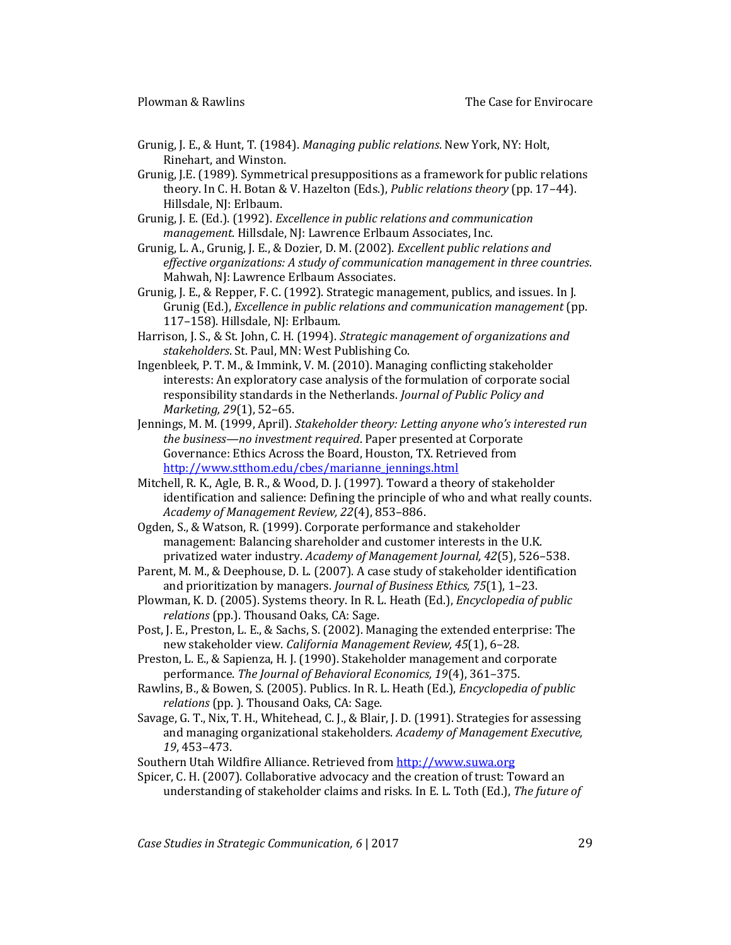- Grunig, J. E., & Hunt, T. (1984). *Managing public relations*. New York, NY: Holt, Rinehart, and Winston.
- Grunig, J.E. (1989). Symmetrical presuppositions as a framework for public relations theory. In C. H. Botan & V. Hazelton (Eds.), *Public relations theory* (pp. 17–44). Hillsdale, NJ: Erlbaum.
- Grunig, J. E. (Ed.). (1992). *Excellence in public relations and communication management*. Hillsdale, NJ: Lawrence Erlbaum Associates, Inc.
- Grunig, L. A., Grunig, J. E., & Dozier, D. M. (2002). *Excellent public relations and effective organizations: A study of communication management in three countries*. Mahwah, NJ: Lawrence Erlbaum Associates.
- Grunig, J. E., & Repper, F. C. (1992). Strategic management, publics, and issues. In J. Grunig (Ed.), *Excellence in public relations and communication management* (pp. 117–158). Hillsdale, NJ: Erlbaum.
- Harrison, J. S., & St. John, C. H. (1994). *Strategic management of organizations and stakeholders*. St. Paul, MN: West Publishing Co.
- Ingenbleek, P. T. M., & Immink, V. M. (2010). Managing conflicting stakeholder interests: An exploratory case analysis of the formulation of corporate social responsibility standards in the Netherlands. *Journal of Public Policy and Marketing, 29*(1), 52–65.
- Jennings, M. M. (1999, April). *Stakeholder theory: Letting anyone who's interested run the business—no investment required*. Paper presented at Corporate Governance: Ethics Across the Board, Houston, TX. Retrieved from [http://www.stthom.edu/cbes/marianne\\_jennings.html](http://www.stthom.edu/cbes/marianne_jennings.html)
- Mitchell, R. K., Agle, B. R., & Wood, D. J. (1997). Toward a theory of stakeholder identification and salience: Defining the principle of who and what really counts. *Academy of Management Review, 22*(4), 853–886.
- Ogden, S., & Watson, R. (1999). Corporate performance and stakeholder management: Balancing shareholder and customer interests in the U.K. privatized water industry. *Academy of Management Journal, 42*(5), 526–538.
- Parent, M. M., & Deephouse, D. L. (2007). A case study of stakeholder identification and prioritization by managers. *Journal of Business Ethics, 75*(1), 1–23.
- Plowman, K. D. (2005). Systems theory. In R. L. Heath (Ed.), *Encyclopedia of public relations* (pp.). Thousand Oaks, CA: Sage.
- Post, J. E., Preston, L. E., & Sachs, S. (2002). Managing the extended enterprise: The new stakeholder view. *California Management Review, 45*(1), 6–28.
- Preston, L. E., & Sapienza, H. J. (1990). Stakeholder management and corporate performance. *The Journal of Behavioral Economics, 19*(4), 361–375.
- Rawlins, B., & Bowen, S. (2005). Publics. In R. L. Heath (Ed.), *Encyclopedia of public relations* (pp. ). Thousand Oaks, CA: Sage.
- Savage, G. T., Nix, T. H., Whitehead, C. J., & Blair, J. D. (1991). Strategies for assessing and managing organizational stakeholders. *Academy of Management Executive, 19*, 453–473.
- Southern Utah Wildfire Alliance. Retrieved from [http://www.suwa.org](http://www.suwa.org/)
- Spicer, C. H. (2007). Collaborative advocacy and the creation of trust: Toward an understanding of stakeholder claims and risks. In E. L. Toth (Ed.), *The future of*

*Case Studies in Strategic Communication, 6* | 2017 29